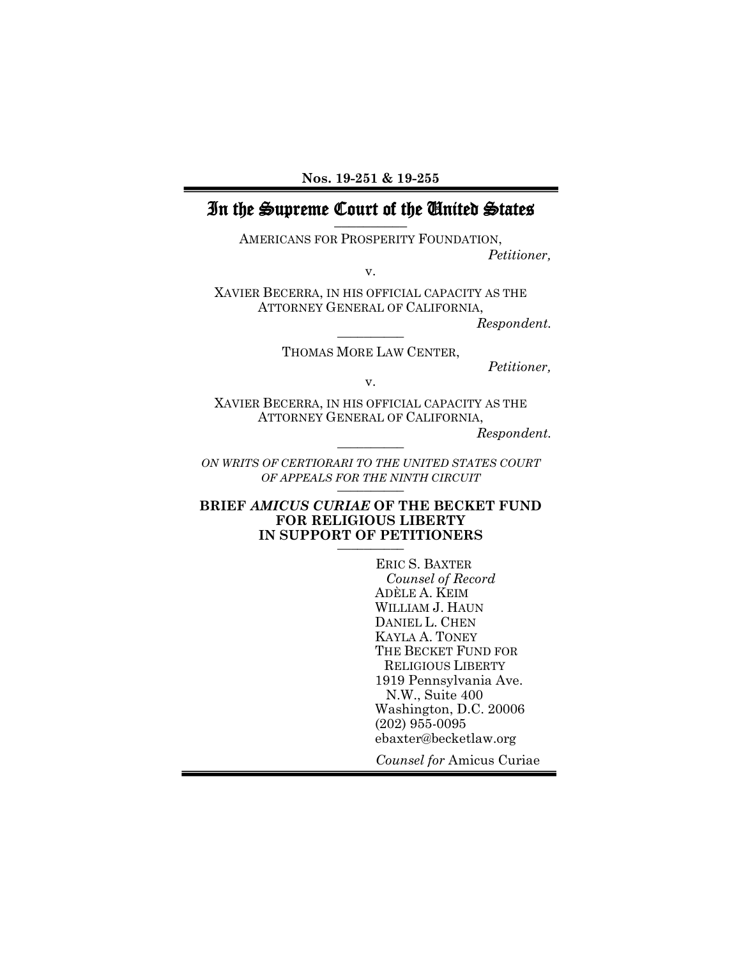### In the Supreme Court of the United States **\_\_\_\_\_\_\_\_\_\_**

AMERICANS FOR PROSPERITY FOUNDATION, *Petitioner,*

v.

XAVIER BECERRA, IN HIS OFFICIAL CAPACITY AS THE ATTORNEY GENERAL OF CALIFORNIA,

*Respondent.* **\_\_\_\_\_\_\_\_\_\_**

THOMAS MORE LAW CENTER,

*Petitioner,*

v.

XAVIER BECERRA, IN HIS OFFICIAL CAPACITY AS THE ATTORNEY GENERAL OF CALIFORNIA,

 $Respondent.$ 

*ON WRITS OF CERTIORARI TO THE UNITED STATES COURT OF APPEALS FOR THE NINTH CIRCUIT* **\_\_\_\_\_\_\_\_\_\_**

#### **BRIEF** *AMICUS CURIAE* **OF THE BECKET FUND FOR RELIGIOUS LIBERTY IN SUPPORT OF PETITIONERS \_\_\_\_\_\_\_\_\_\_**

ERIC S. BAXTER *Counsel of Record* ADÈLE A. KEIM WILLIAM J. HAUN DANIEL L. CHEN KAYLA A. TONEY THE BECKET FUND FOR RELIGIOUS LIBERTY 1919 Pennsylvania Ave. N.W., Suite 400 Washington, D.C. 20006 (202) 955-0095 ebaxter@becketlaw.org

*Counsel for* Amicus Curiae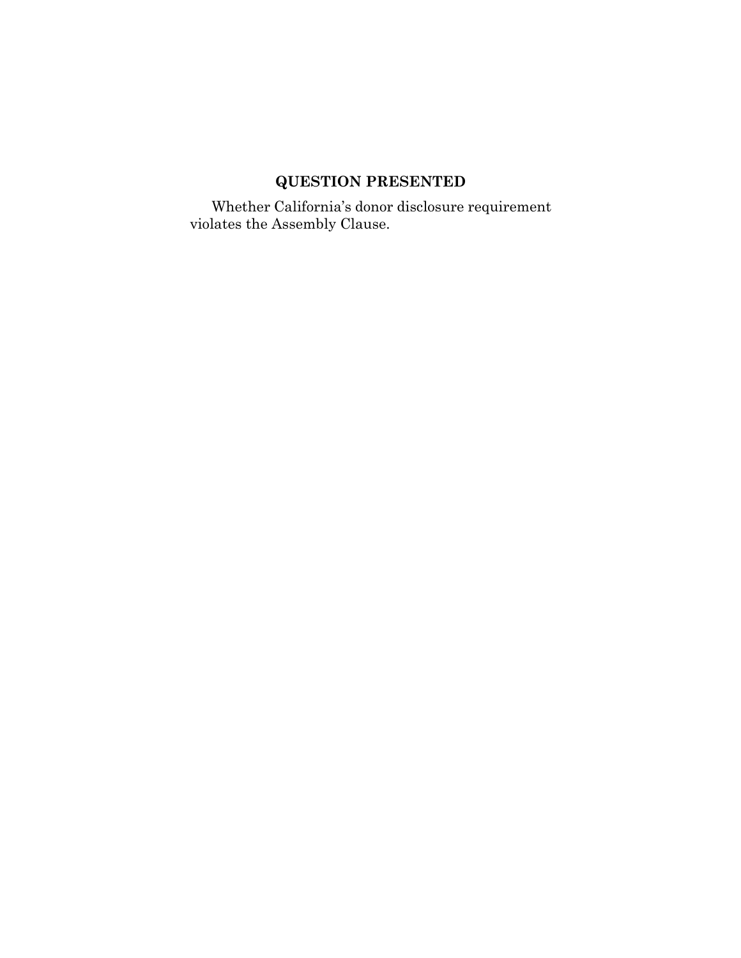# **QUESTION PRESENTED**

Whether California's donor disclosure requirement violates the Assembly Clause.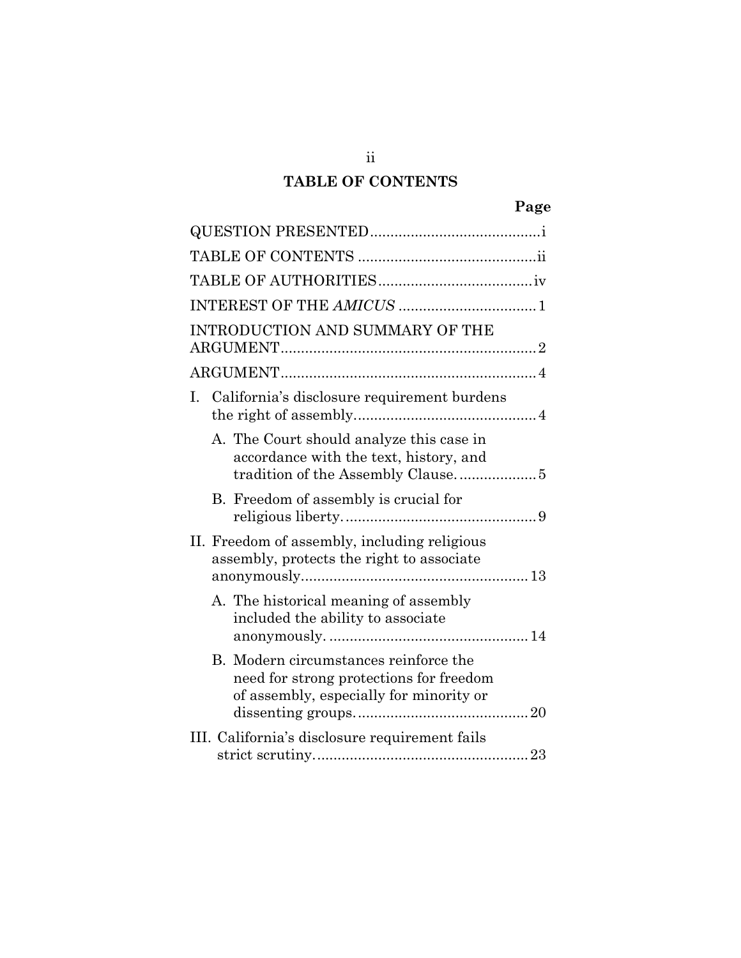### **TABLE OF CONTENTS**

| INTRODUCTION AND SUMMARY OF THE                                                                                             |  |
|-----------------------------------------------------------------------------------------------------------------------------|--|
|                                                                                                                             |  |
| California's disclosure requirement burdens<br>Ι.                                                                           |  |
| A. The Court should analyze this case in<br>accordance with the text, history, and                                          |  |
| B. Freedom of assembly is crucial for                                                                                       |  |
| II. Freedom of assembly, including religious<br>assembly, protects the right to associate                                   |  |
| A. The historical meaning of assembly<br>included the ability to associate                                                  |  |
| B. Modern circumstances reinforce the<br>need for strong protections for freedom<br>of assembly, especially for minority or |  |
| III. California's disclosure requirement fails                                                                              |  |
|                                                                                                                             |  |

ii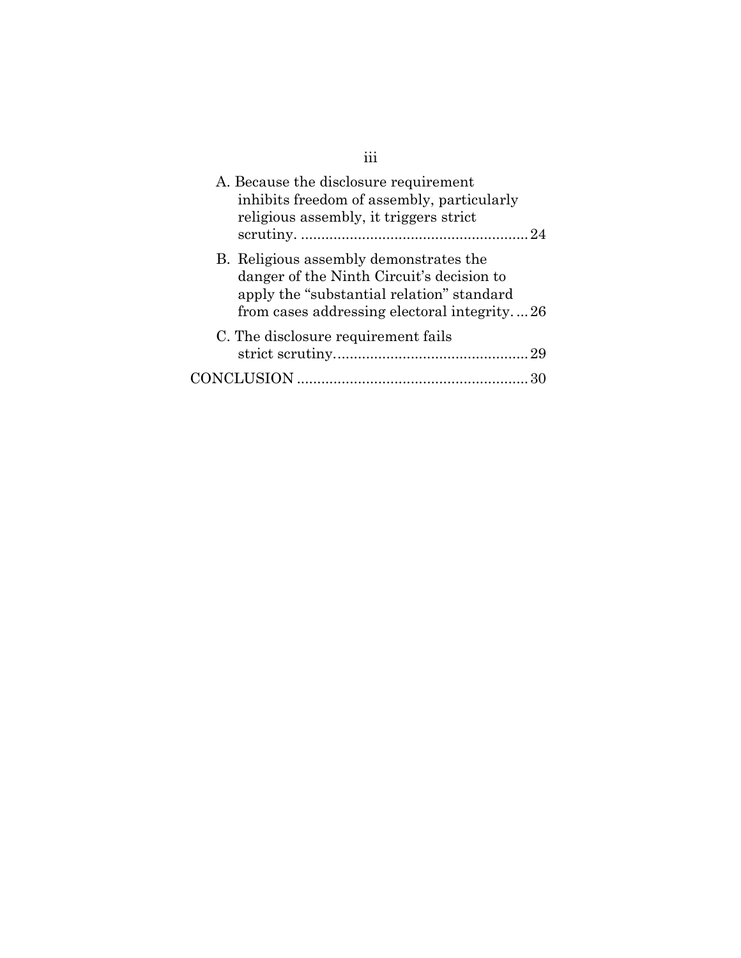| A. Because the disclosure requirement<br>inhibits freedom of assembly, particularly<br>religious assembly, it triggers strict                                                   |
|---------------------------------------------------------------------------------------------------------------------------------------------------------------------------------|
| B. Religious assembly demonstrates the<br>danger of the Ninth Circuit's decision to<br>apply the "substantial relation" standard<br>from cases addressing electoral integrity26 |
| C. The disclosure requirement fails                                                                                                                                             |
| CONCLUSION                                                                                                                                                                      |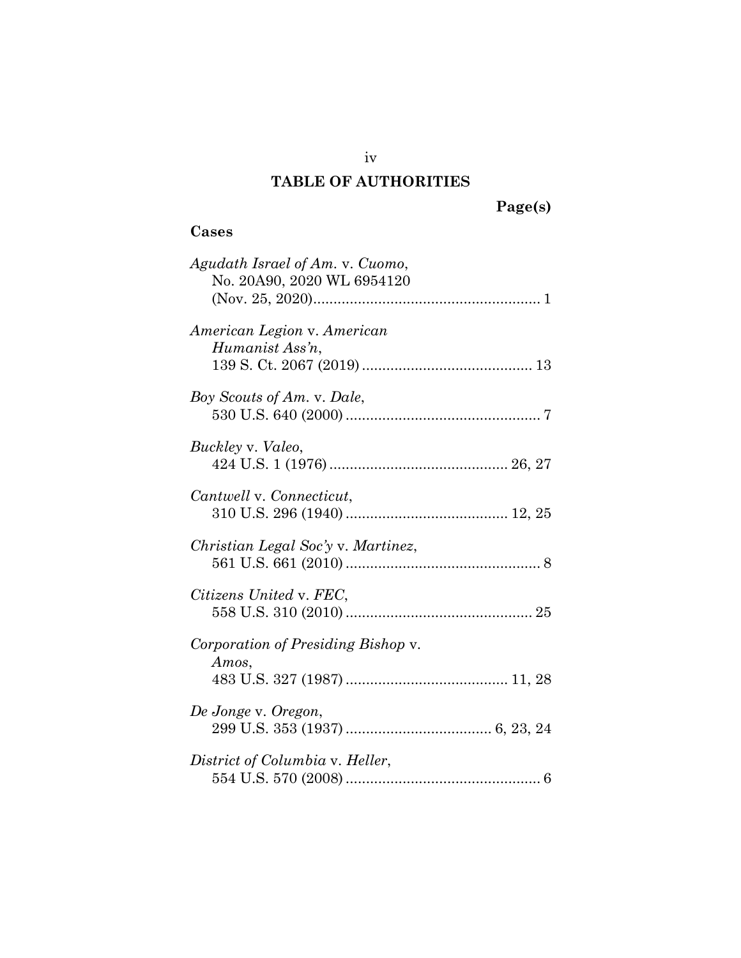# **TABLE OF AUTHORITIES**

# **Page(s)**

# **Cases**

| Agudath Israel of Am. v. Cuomo,<br>No. 20A90, 2020 WL 6954120 |
|---------------------------------------------------------------|
| American Legion v. American<br>Humanist Ass'n,                |
| Boy Scouts of Am. v. Dale,                                    |
| Buckley v. Valeo,                                             |
| Cantwell v. Connecticut,                                      |
| Christian Legal Soc'y v. Martinez,                            |
| Citizens United v. FEC,                                       |
| Corporation of Presiding Bishop v.<br>Amos,                   |
| De Jonge v. Oregon,                                           |
| District of Columbia v. Heller,                               |

iv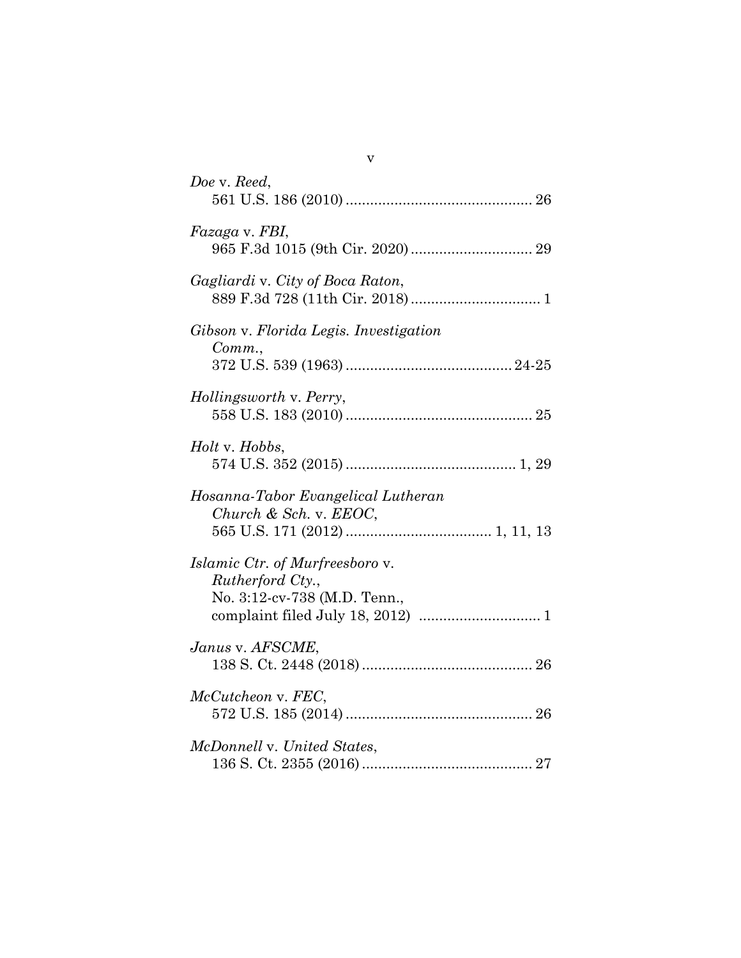| Doe v. Reed,                                                                        |
|-------------------------------------------------------------------------------------|
| <i>Fazaga</i> v. <i>FBI</i> ,                                                       |
| Gagliardi v. City of Boca Raton,                                                    |
| Gibson v. Florida Legis. Investigation<br>Comm.                                     |
| Hollingsworth v. Perry,                                                             |
| Holt v. Hobbs,                                                                      |
| Hosanna-Tabor Evangelical Lutheran<br>Church & Sch. v. $EEOC$ ,                     |
| Islamic Ctr. of Murfreesboro v.<br>Rutherford Cty.,<br>No. 3:12-cv-738 (M.D. Tenn., |
| Janus v. AFSCME,                                                                    |
| McCutcheon v. FEC,                                                                  |
| McDonnell v. United States,                                                         |

v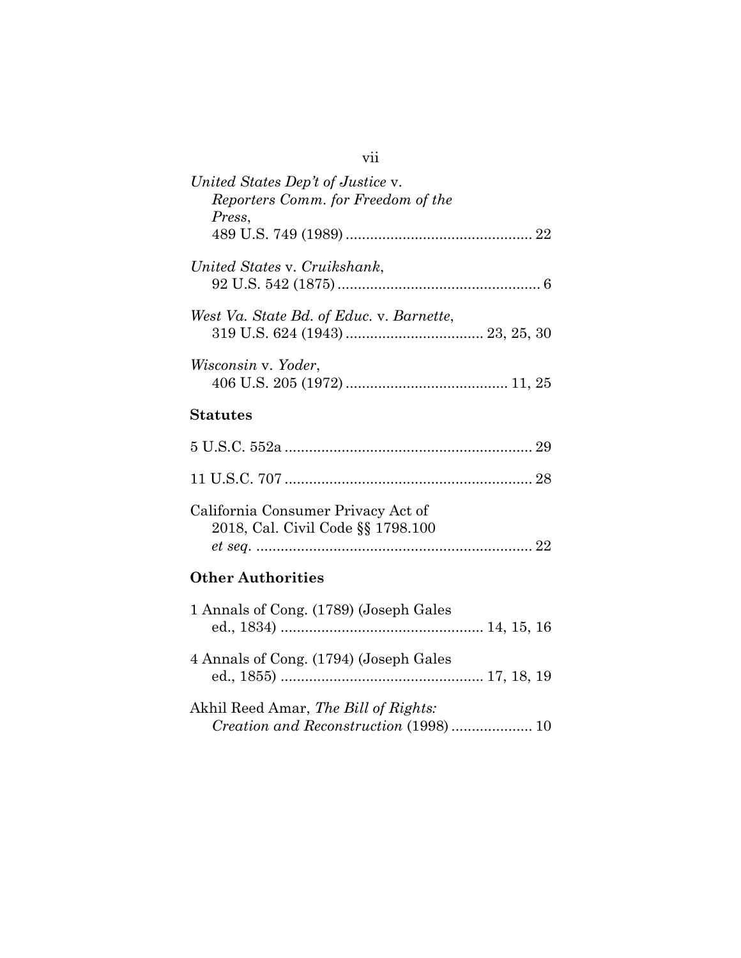| United States Dep't of Justice v.<br>Reporters Comm. for Freedom of the<br>Press, |  |
|-----------------------------------------------------------------------------------|--|
| United States v. Cruikshank,                                                      |  |
| West Va. State Bd. of Educ. v. Barnette,                                          |  |
| Wisconsin v. Yoder,                                                               |  |
| <b>Statutes</b>                                                                   |  |
|                                                                                   |  |
|                                                                                   |  |
| California Consumer Privacy Act of<br>2018, Cal. Civil Code §§ 1798.100           |  |

# **Other Authorities**

| 1 Annals of Cong. (1789) (Joseph Gales |  |
|----------------------------------------|--|
| 4 Annals of Cong. (1794) (Joseph Gales |  |
| Akhil Reed Amar, The Bill of Rights:   |  |

vii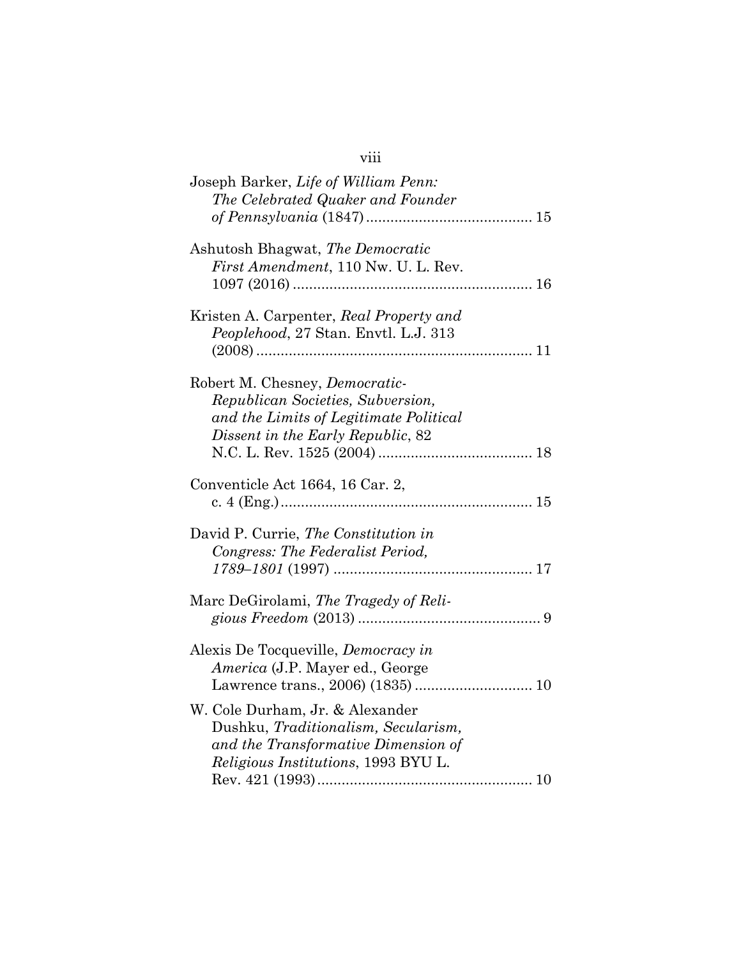# viii

| Joseph Barker, Life of William Penn:<br>The Celebrated Quaker and Founder                                                                                   |
|-------------------------------------------------------------------------------------------------------------------------------------------------------------|
| Ashutosh Bhagwat, The Democratic<br>First Amendment, 110 Nw. U. L. Rev.                                                                                     |
| Kristen A. Carpenter, Real Property and<br>Peoplehood, 27 Stan. Envtl. L.J. 313                                                                             |
| Robert M. Chesney, Democratic-<br>Republican Societies, Subversion,<br>and the Limits of Legitimate Political<br>Dissent in the Early Republic, 82          |
| Conventicle Act 1664, 16 Car. 2,                                                                                                                            |
| David P. Currie, The Constitution in<br>Congress: The Federalist Period,                                                                                    |
| Marc DeGirolami, The Tragedy of Reli-                                                                                                                       |
| Alexis De Tocqueville, Democracy in<br><i>America</i> (J.P. Mayer ed., George                                                                               |
| W. Cole Durham, Jr. & Alexander<br>Dushku, Traditionalism, Secularism,<br>and the Transformative Dimension of<br><i>Religious Institutions, 1993 BYU L.</i> |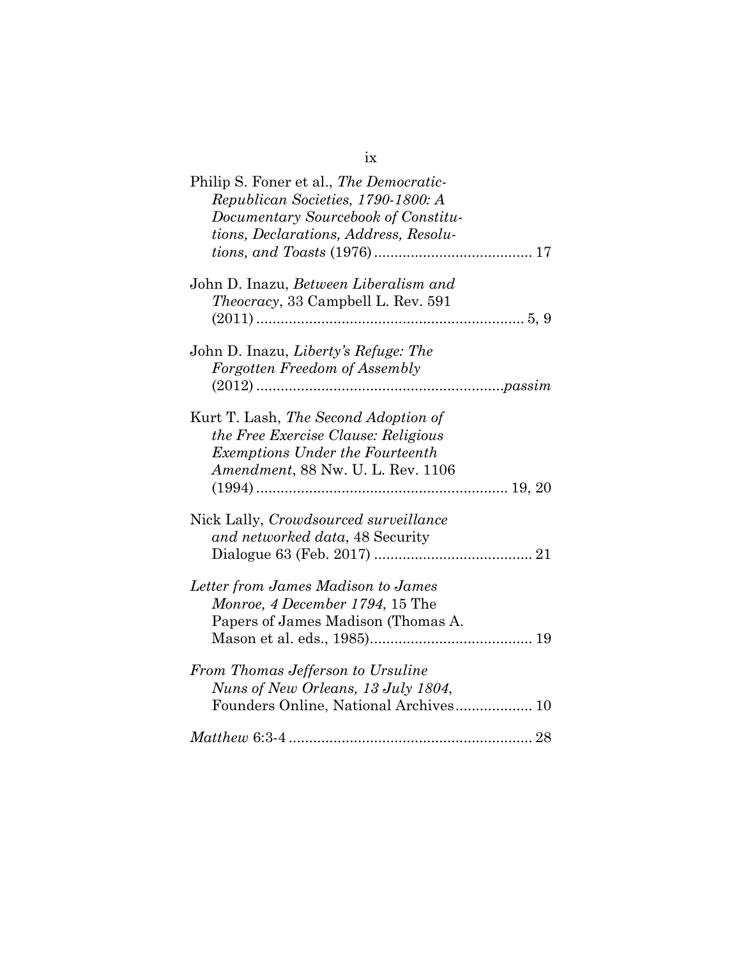| Philip S. Foner et al., The Democratic-<br>Republican Societies, 1790-1800: A<br>Documentary Sourcebook of Constitu-<br>tions, Declarations, Address, Resolu- |  |
|---------------------------------------------------------------------------------------------------------------------------------------------------------------|--|
| John D. Inazu, Between Liberalism and<br><i>Theocracy</i> , 33 Campbell L. Rev. 591                                                                           |  |
| John D. Inazu, Liberty's Refuge: The<br>Forgotten Freedom of Assembly                                                                                         |  |
| Kurt T. Lash, The Second Adoption of<br>the Free Exercise Clause: Religious<br><b>Exemptions Under the Fourteenth</b><br>Amendment, 88 Nw. U. L. Rev. 1106    |  |
| Nick Lally, Crowdsourced surveillance<br>and networked data, 48 Security                                                                                      |  |
| Letter from James Madison to James<br>Monroe, 4 December 1794, 15 The<br>Papers of James Madison (Thomas A.                                                   |  |
| From Thomas Jefferson to Ursuline<br>Nuns of New Orleans, 13 July 1804,<br>Founders Online, National Archives 10                                              |  |
|                                                                                                                                                               |  |

ix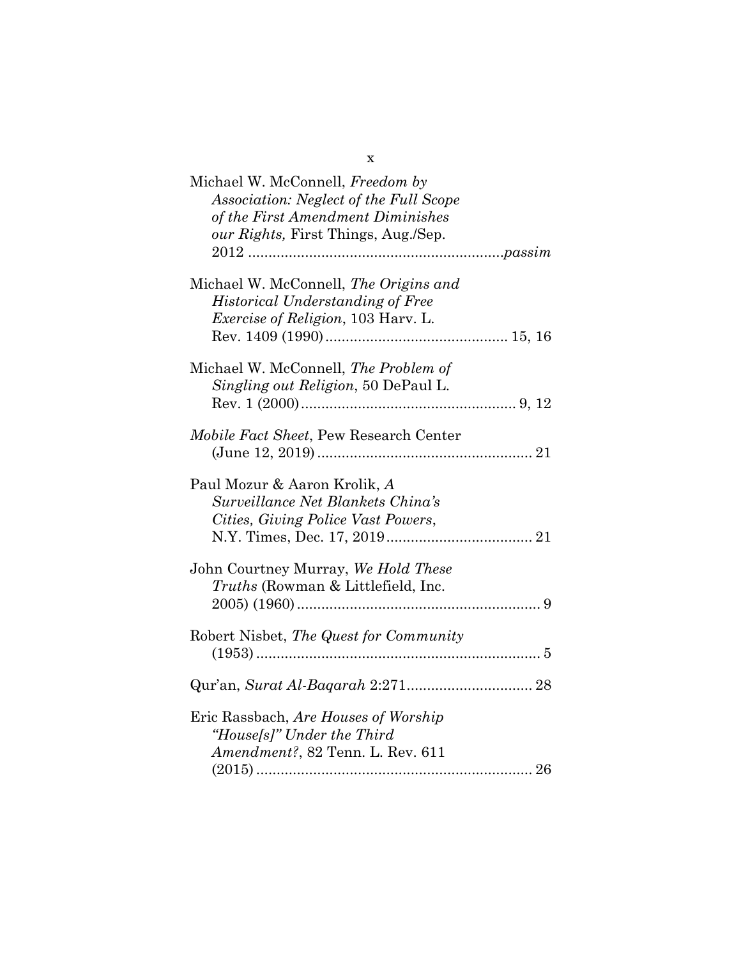| Michael W. McConnell, Freedom by<br>Association: Neglect of the Full Scope<br>of the First Amendment Diminishes<br>our Rights, First Things, Aug./Sep. |  |
|--------------------------------------------------------------------------------------------------------------------------------------------------------|--|
| Michael W. McConnell, The Origins and<br>Historical Understanding of Free<br><i>Exercise of Religion</i> , 103 Harv. L.                                |  |
| Michael W. McConnell, The Problem of<br>Singling out Religion, 50 DePaul L.                                                                            |  |
| Mobile Fact Sheet, Pew Research Center                                                                                                                 |  |
| Paul Mozur & Aaron Krolik, A<br>Surveillance Net Blankets China's<br>Cities, Giving Police Vast Powers,                                                |  |
| John Courtney Murray, We Hold These<br><i>Truths</i> (Rowman & Littlefield, Inc.                                                                       |  |
| Robert Nisbet, The Quest for Community                                                                                                                 |  |
|                                                                                                                                                        |  |
| Eric Rassbach, Are Houses of Worship<br>"House[s]" Under the Third<br>Amendment?, 82 Tenn. L. Rev. 611                                                 |  |
|                                                                                                                                                        |  |

x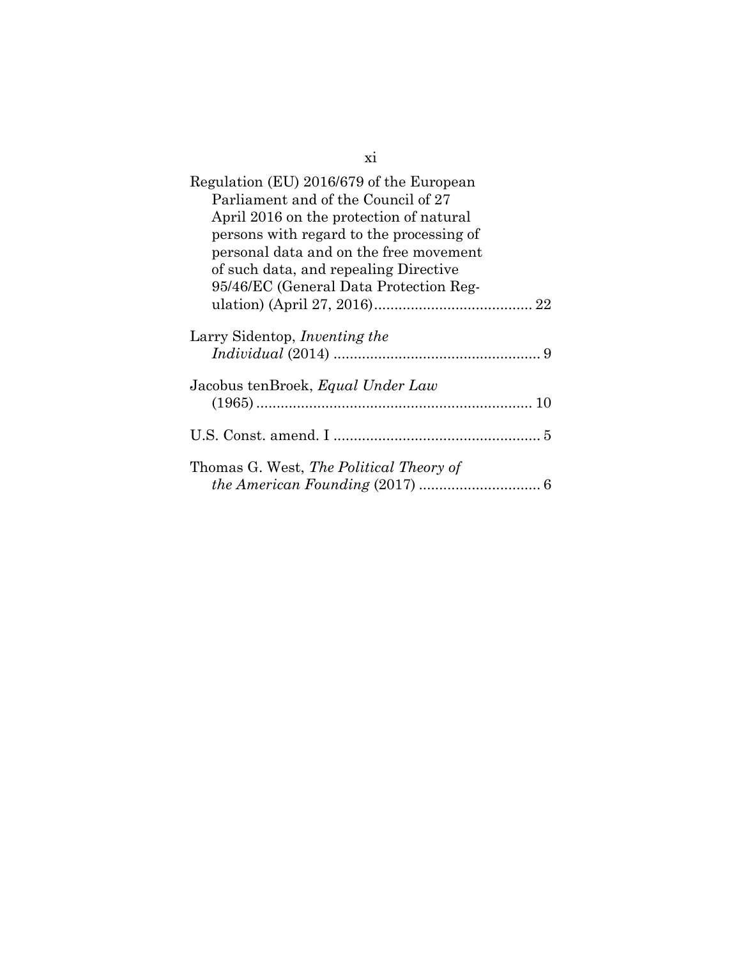xi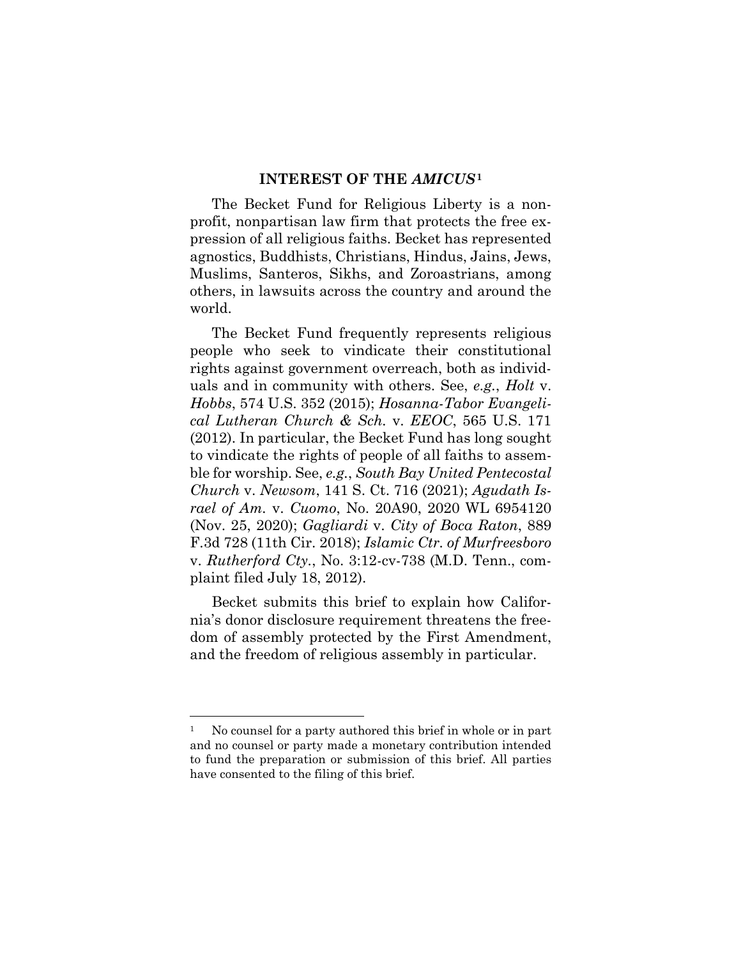#### **INTEREST OF THE** *AMICUS***<sup>1</sup>**

The Becket Fund for Religious Liberty is a nonprofit, nonpartisan law firm that protects the free expression of all religious faiths. Becket has represented agnostics, Buddhists, Christians, Hindus, Jains, Jews, Muslims, Santeros, Sikhs, and Zoroastrians, among others, in lawsuits across the country and around the world.

The Becket Fund frequently represents religious people who seek to vindicate their constitutional rights against government overreach, both as individuals and in community with others. See, *e.g.*, *Holt* v. *Hobbs*, 574 U.S. 352 (2015); *Hosanna-Tabor Evangelical Lutheran Church & Sch.* v. *EEOC*, 565 U.S. 171 (2012). In particular, the Becket Fund has long sought to vindicate the rights of people of all faiths to assemble for worship. See, *e.g.*, *South Bay United Pentecostal Church* v. *Newsom*, 141 S. Ct. 716 (2021); *Agudath Israel of Am.* v. *Cuomo*, No. 20A90, 2020 WL 6954120 (Nov. 25, 2020); *Gagliardi* v. *City of Boca Raton*, 889 F.3d 728 (11th Cir. 2018); *Islamic Ctr. of Murfreesboro*  v. *Rutherford Cty.*, No. 3:12-cv-738 (M.D. Tenn., complaint filed July 18, 2012).

Becket submits this brief to explain how California's donor disclosure requirement threatens the freedom of assembly protected by the First Amendment, and the freedom of religious assembly in particular.

<sup>&</sup>lt;sup>1</sup> No counsel for a party authored this brief in whole or in part and no counsel or party made a monetary contribution intended to fund the preparation or submission of this brief. All parties have consented to the filing of this brief.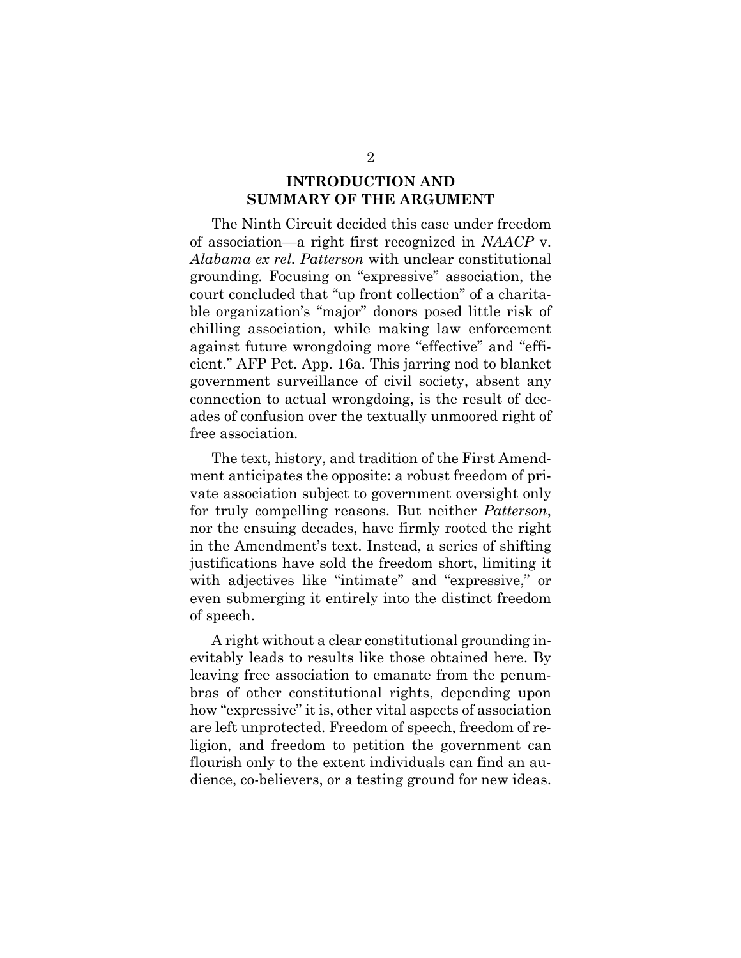### **INTRODUCTION AND SUMMARY OF THE ARGUMENT**

The Ninth Circuit decided this case under freedom of association—a right first recognized in *NAACP* v. *Alabama ex rel. Patterson* with unclear constitutional grounding*.* Focusing on "expressive" association, the court concluded that "up front collection" of a charitable organization's "major" donors posed little risk of chilling association, while making law enforcement against future wrongdoing more "effective" and "efficient." AFP Pet. App. 16a. This jarring nod to blanket government surveillance of civil society, absent any connection to actual wrongdoing, is the result of decades of confusion over the textually unmoored right of free association.

The text, history, and tradition of the First Amendment anticipates the opposite: a robust freedom of private association subject to government oversight only for truly compelling reasons. But neither *Patterson*, nor the ensuing decades, have firmly rooted the right in the Amendment's text. Instead, a series of shifting justifications have sold the freedom short, limiting it with adjectives like "intimate" and "expressive," or even submerging it entirely into the distinct freedom of speech.

A right without a clear constitutional grounding inevitably leads to results like those obtained here. By leaving free association to emanate from the penumbras of other constitutional rights, depending upon how "expressive" it is, other vital aspects of association are left unprotected. Freedom of speech, freedom of religion, and freedom to petition the government can flourish only to the extent individuals can find an audience, co-believers, or a testing ground for new ideas.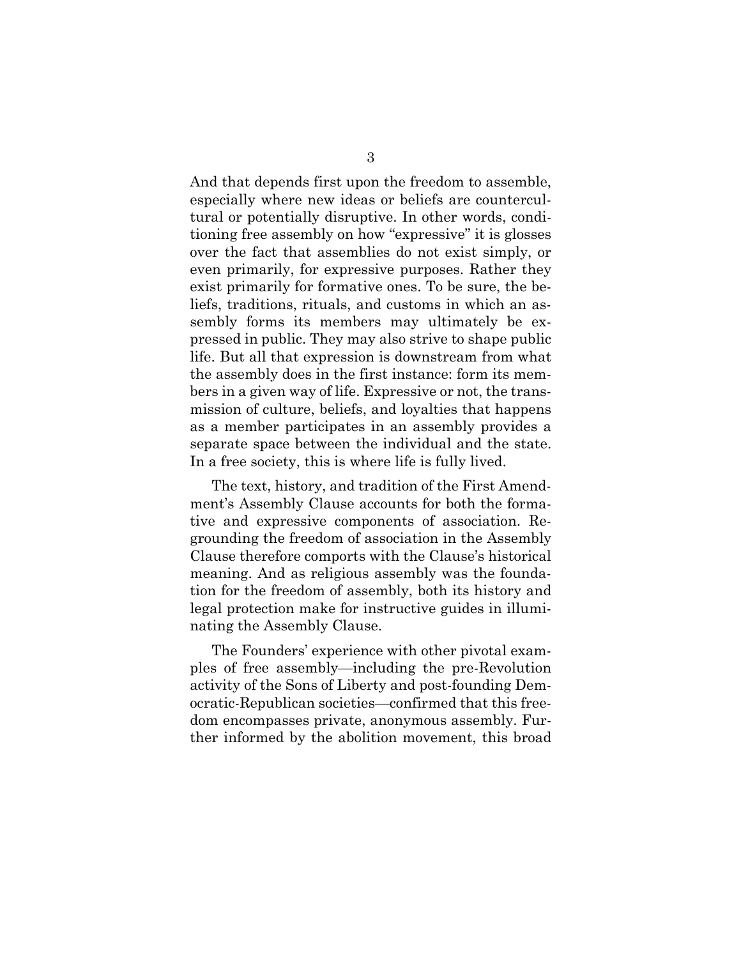And that depends first upon the freedom to assemble, especially where new ideas or beliefs are countercultural or potentially disruptive. In other words, conditioning free assembly on how "expressive" it is glosses over the fact that assemblies do not exist simply, or even primarily, for expressive purposes. Rather they exist primarily for formative ones. To be sure, the beliefs, traditions, rituals, and customs in which an assembly forms its members may ultimately be expressed in public. They may also strive to shape public life. But all that expression is downstream from what the assembly does in the first instance: form its members in a given way of life. Expressive or not, the transmission of culture, beliefs, and loyalties that happens as a member participates in an assembly provides a separate space between the individual and the state. In a free society, this is where life is fully lived.

The text, history, and tradition of the First Amendment's Assembly Clause accounts for both the formative and expressive components of association. Regrounding the freedom of association in the Assembly Clause therefore comports with the Clause's historical meaning. And as religious assembly was the foundation for the freedom of assembly, both its history and legal protection make for instructive guides in illuminating the Assembly Clause.

The Founders' experience with other pivotal examples of free assembly—including the pre-Revolution activity of the Sons of Liberty and post-founding Democratic-Republican societies—confirmed that this freedom encompasses private, anonymous assembly. Further informed by the abolition movement, this broad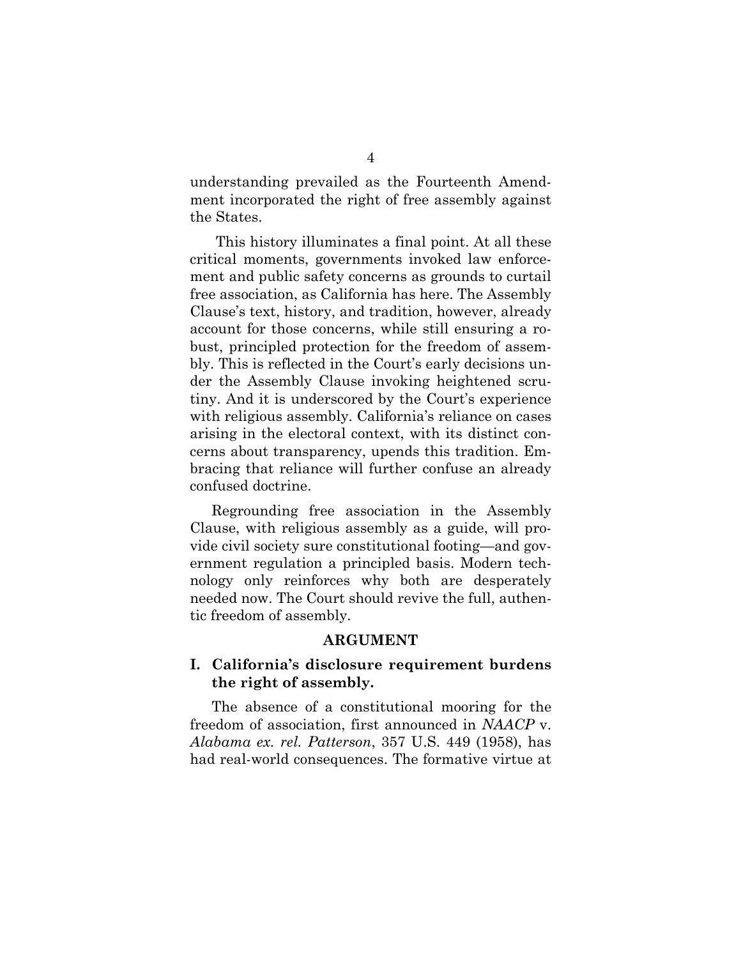understanding prevailed as the Fourteenth Amendment incorporated the right of free assembly against the States.

This history illuminates a final point. At all these critical moments, governments invoked law enforcement and public safety concerns as grounds to curtail free association, as California has here. The Assembly Clause's text, history, and tradition, however, already account for those concerns, while still ensuring a robust, principled protection for the freedom of assembly. This is reflected in the Court's early decisions under the Assembly Clause invoking heightened scrutiny. And it is underscored by the Court's experience with religious assembly. California's reliance on cases arising in the electoral context, with its distinct concerns about transparency, upends this tradition. Embracing that reliance will further confuse an already confused doctrine.

Regrounding free association in the Assembly Clause, with religious assembly as a guide, will provide civil society sure constitutional footing—and government regulation a principled basis. Modern technology only reinforces why both are desperately needed now. The Court should revive the full, authentic freedom of assembly.

#### **ARGUMENT**

#### **I. California's disclosure requirement burdens the right of assembly.**

The absence of a constitutional mooring for the freedom of association, first announced in *NAACP* v. *Alabama ex. rel. Patterson*, 357 U.S. 449 (1958), has had real-world consequences. The formative virtue at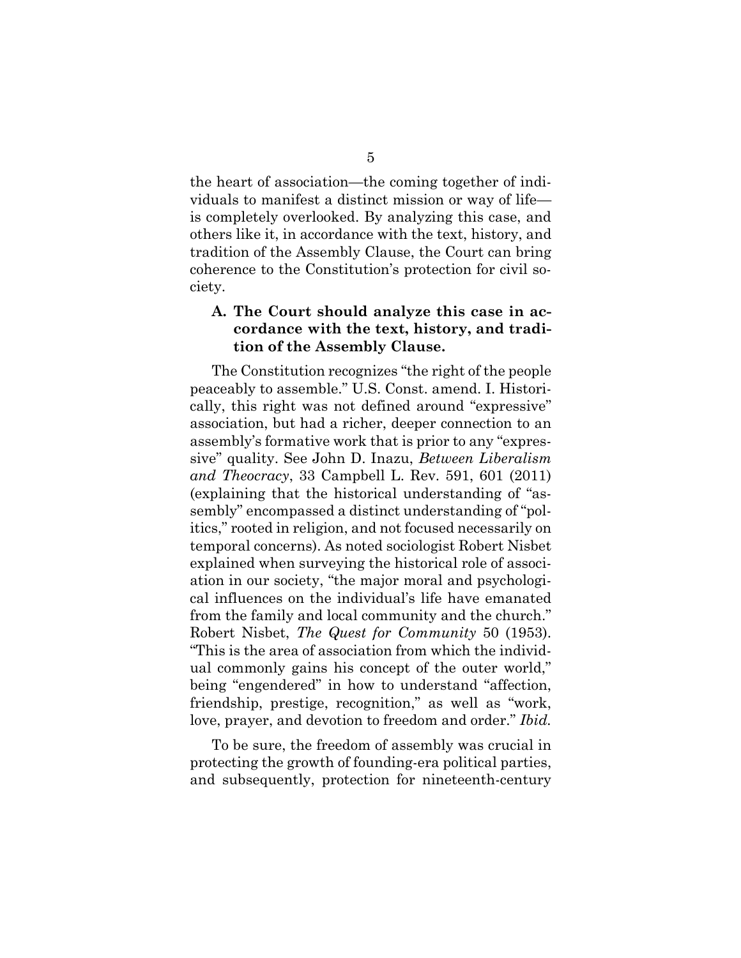the heart of association—the coming together of individuals to manifest a distinct mission or way of life is completely overlooked. By analyzing this case, and others like it, in accordance with the text, history, and tradition of the Assembly Clause, the Court can bring coherence to the Constitution's protection for civil society.

#### **A. The Court should analyze this case in accordance with the text, history, and tradition of the Assembly Clause.**

The Constitution recognizes "the right of the people peaceably to assemble." U.S. Const. amend. I. Historically, this right was not defined around "expressive" association, but had a richer, deeper connection to an assembly's formative work that is prior to any "expressive" quality. See John D. Inazu, *Between Liberalism and Theocracy*, 33 Campbell L. Rev. 591, 601 (2011) (explaining that the historical understanding of "assembly" encompassed a distinct understanding of "politics," rooted in religion, and not focused necessarily on temporal concerns). As noted sociologist Robert Nisbet explained when surveying the historical role of association in our society, "the major moral and psychological influences on the individual's life have emanated from the family and local community and the church." Robert Nisbet, *The Quest for Community* 50 (1953). "This is the area of association from which the individual commonly gains his concept of the outer world," being "engendered" in how to understand "affection, friendship, prestige, recognition," as well as "work, love, prayer, and devotion to freedom and order." *Ibid.*

To be sure, the freedom of assembly was crucial in protecting the growth of founding-era political parties, and subsequently, protection for nineteenth-century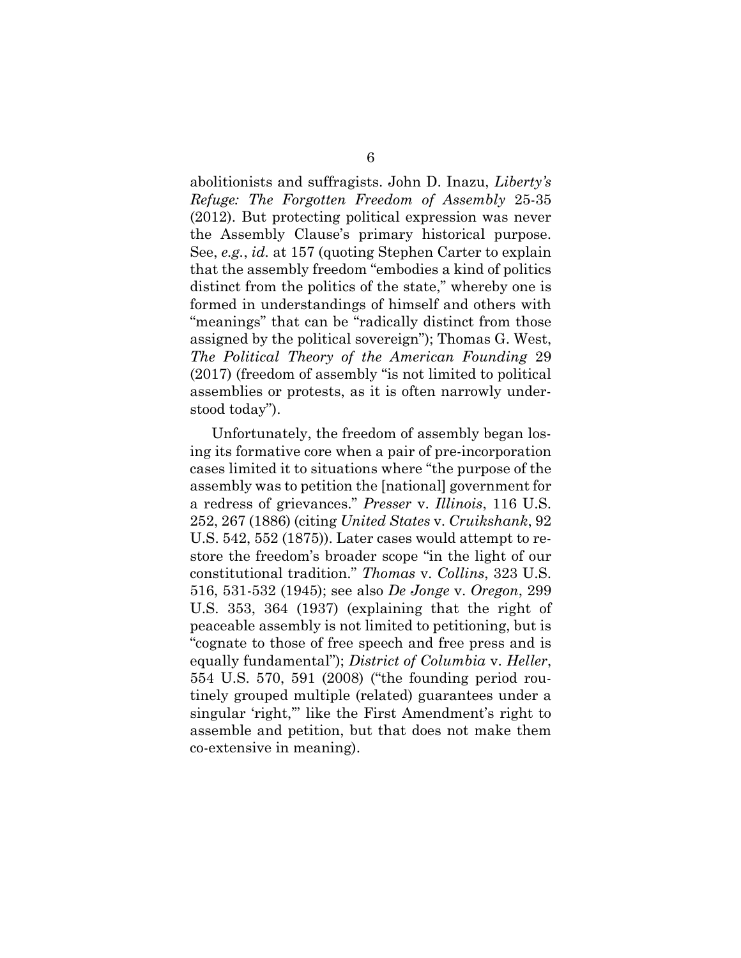abolitionists and suffragists. John D. Inazu, *Liberty's Refuge: The Forgotten Freedom of Assembly* 25-35 (2012). But protecting political expression was never the Assembly Clause's primary historical purpose. See, *e.g.*, *id.* at 157 (quoting Stephen Carter to explain that the assembly freedom "embodies a kind of politics distinct from the politics of the state," whereby one is formed in understandings of himself and others with "meanings" that can be "radically distinct from those assigned by the political sovereign"); Thomas G. West, *The Political Theory of the American Founding* 29 (2017) (freedom of assembly "is not limited to political assemblies or protests, as it is often narrowly understood today").

Unfortunately, the freedom of assembly began losing its formative core when a pair of pre-incorporation cases limited it to situations where "the purpose of the assembly was to petition the [national] government for a redress of grievances." *Presser* v. *Illinois*, 116 U.S. 252, 267 (1886) (citing *United States* v. *Cruikshank*, 92 U.S. 542, 552 (1875)). Later cases would attempt to restore the freedom's broader scope "in the light of our constitutional tradition." *Thomas* v. *Collins*, 323 U.S. 516, 531-532 (1945); see also *De Jonge* v. *Oregon*, 299 U.S. 353, 364 (1937) (explaining that the right of peaceable assembly is not limited to petitioning, but is "cognate to those of free speech and free press and is equally fundamental"); *District of Columbia* v. *Heller*, 554 U.S. 570, 591 (2008) ("the founding period routinely grouped multiple (related) guarantees under a singular 'right,'" like the First Amendment's right to assemble and petition, but that does not make them co-extensive in meaning).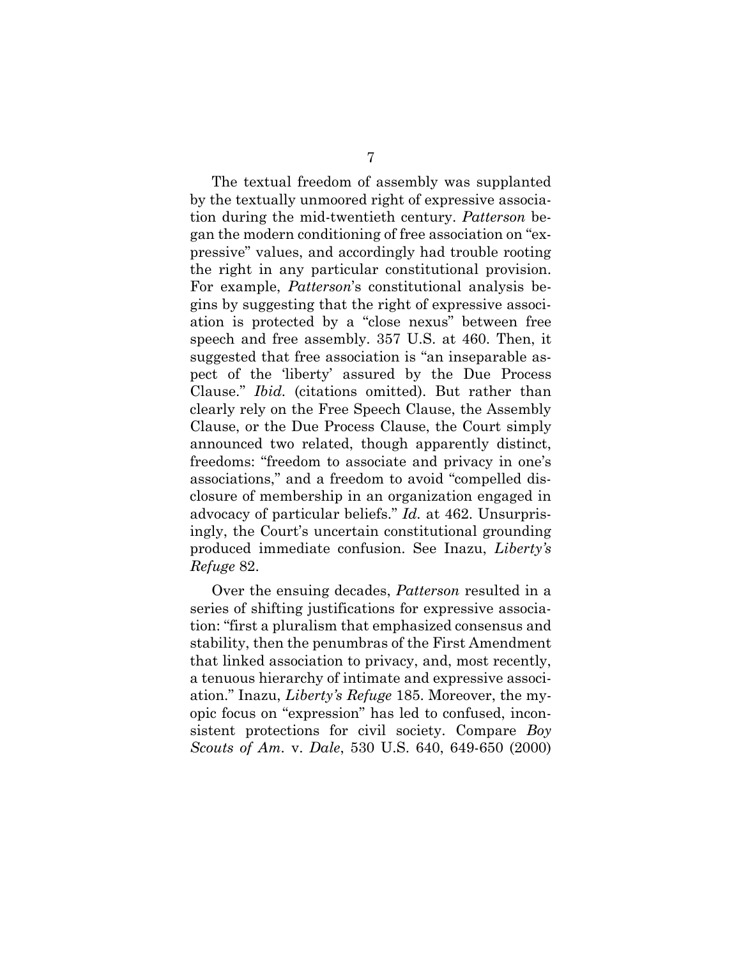The textual freedom of assembly was supplanted by the textually unmoored right of expressive association during the mid-twentieth century. *Patterson* began the modern conditioning of free association on "expressive" values, and accordingly had trouble rooting the right in any particular constitutional provision. For example, *Patterson*'s constitutional analysis begins by suggesting that the right of expressive association is protected by a "close nexus" between free speech and free assembly. 357 U.S. at 460. Then, it suggested that free association is "an inseparable aspect of the 'liberty' assured by the Due Process Clause." *Ibid.* (citations omitted). But rather than clearly rely on the Free Speech Clause, the Assembly Clause, or the Due Process Clause, the Court simply announced two related, though apparently distinct, freedoms: "freedom to associate and privacy in one's associations," and a freedom to avoid "compelled disclosure of membership in an organization engaged in advocacy of particular beliefs." *Id.* at 462. Unsurprisingly, the Court's uncertain constitutional grounding produced immediate confusion. See Inazu, *Liberty's Refuge* 82.

Over the ensuing decades, *Patterson* resulted in a series of shifting justifications for expressive association: "first a pluralism that emphasized consensus and stability, then the penumbras of the First Amendment that linked association to privacy, and, most recently, a tenuous hierarchy of intimate and expressive association." Inazu, *Liberty's Refuge* 185. Moreover, the myopic focus on "expression" has led to confused, inconsistent protections for civil society. Compare *Boy Scouts of Am.* v. *Dale*, 530 U.S. 640, 649-650 (2000)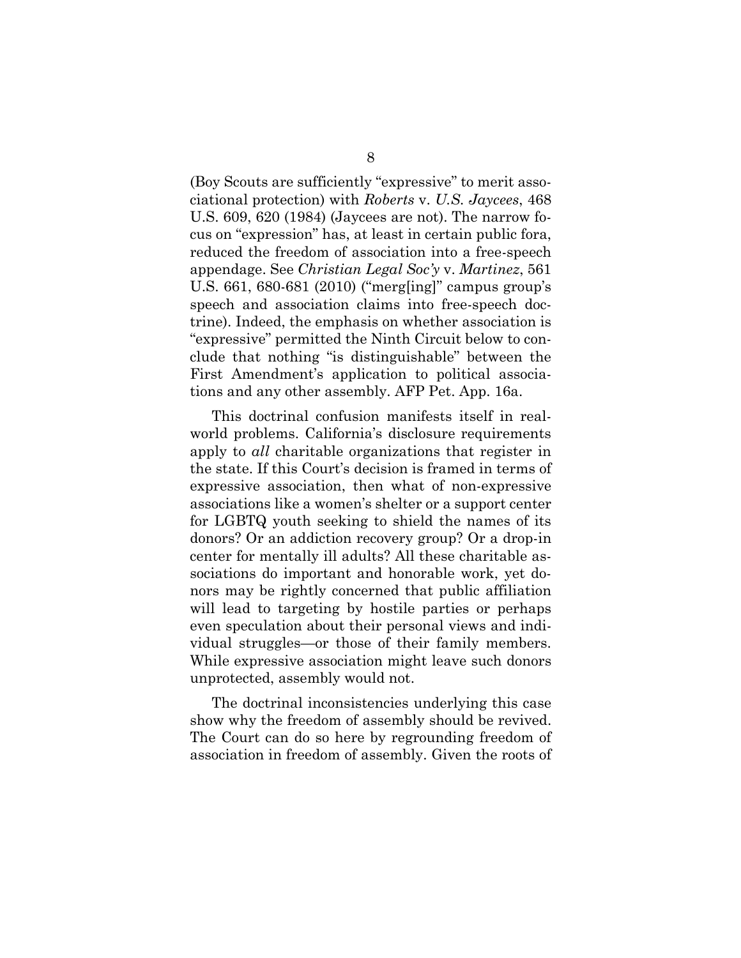(Boy Scouts are sufficiently "expressive" to merit associational protection) with *Roberts* v. *U.S. Jaycees*, 468 U.S. 609, 620 (1984) (Jaycees are not). The narrow focus on "expression" has, at least in certain public fora, reduced the freedom of association into a free-speech appendage. See *Christian Legal Soc'y* v. *Martinez*, 561 U.S. 661, 680-681 (2010) ("merg[ing]" campus group's speech and association claims into free-speech doctrine). Indeed, the emphasis on whether association is "expressive" permitted the Ninth Circuit below to conclude that nothing "is distinguishable" between the First Amendment's application to political associations and any other assembly. AFP Pet. App. 16a.

This doctrinal confusion manifests itself in realworld problems. California's disclosure requirements apply to *all* charitable organizations that register in the state. If this Court's decision is framed in terms of expressive association, then what of non-expressive associations like a women's shelter or a support center for LGBTQ youth seeking to shield the names of its donors? Or an addiction recovery group? Or a drop-in center for mentally ill adults? All these charitable associations do important and honorable work, yet donors may be rightly concerned that public affiliation will lead to targeting by hostile parties or perhaps even speculation about their personal views and individual struggles—or those of their family members. While expressive association might leave such donors unprotected, assembly would not.

The doctrinal inconsistencies underlying this case show why the freedom of assembly should be revived. The Court can do so here by regrounding freedom of association in freedom of assembly. Given the roots of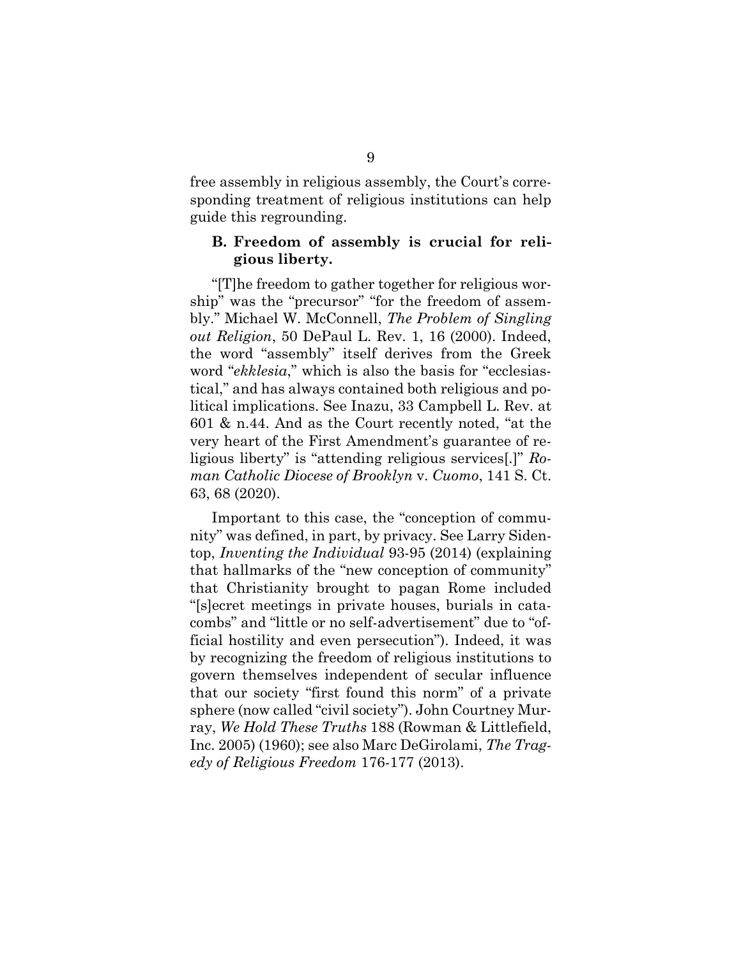free assembly in religious assembly, the Court's corresponding treatment of religious institutions can help guide this regrounding.

#### **B. Freedom of assembly is crucial for religious liberty.**

"[T]he freedom to gather together for religious worship" was the "precursor" "for the freedom of assembly." Michael W. McConnell, *The Problem of Singling out Religion*, 50 DePaul L. Rev. 1, 16 (2000). Indeed, the word "assembly" itself derives from the Greek word "*ekklesia*," which is also the basis for "ecclesiastical," and has always contained both religious and political implications. See Inazu, 33 Campbell L. Rev. at 601 & n.44. And as the Court recently noted, "at the very heart of the First Amendment's guarantee of religious liberty" is "attending religious services[.]" *Roman Catholic Diocese of Brooklyn* v. *Cuomo*, 141 S. Ct. 63, 68 (2020).

Important to this case, the "conception of community" was defined, in part, by privacy. See Larry Sidentop, *Inventing the Individual* 93-95 (2014) (explaining that hallmarks of the "new conception of community" that Christianity brought to pagan Rome included "[s]ecret meetings in private houses, burials in catacombs" and "little or no self-advertisement" due to "official hostility and even persecution"). Indeed, it was by recognizing the freedom of religious institutions to govern themselves independent of secular influence that our society "first found this norm" of a private sphere (now called "civil society"). John Courtney Murray, *We Hold These Truths* 188 (Rowman & Littlefield, Inc. 2005) (1960); see also Marc DeGirolami, *The Tragedy of Religious Freedom* 176-177 (2013).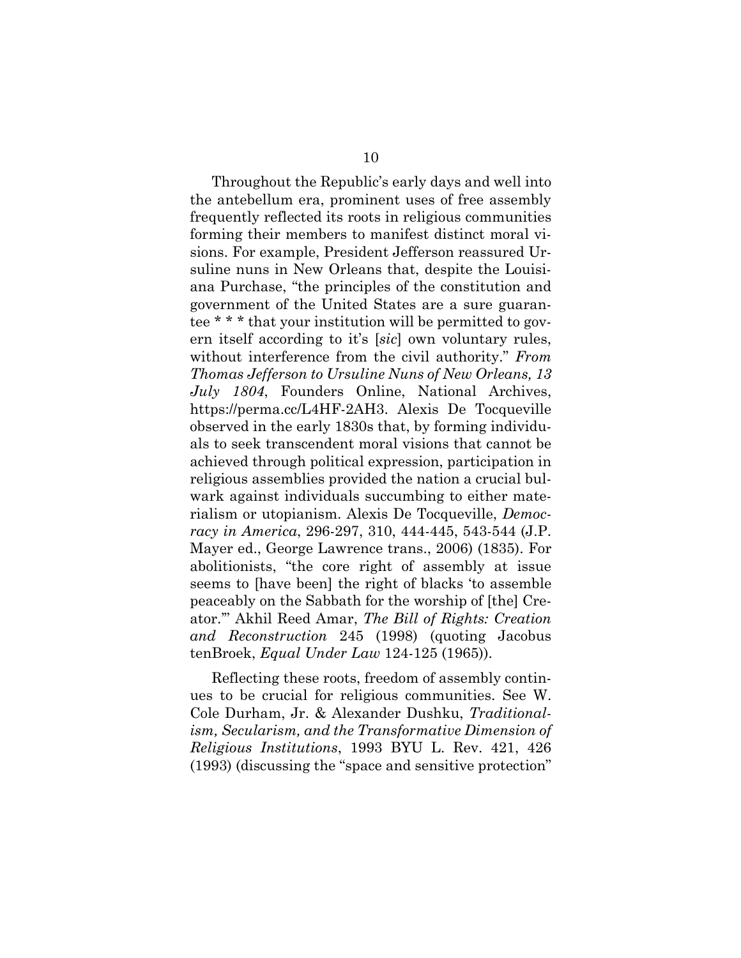Throughout the Republic's early days and well into the antebellum era, prominent uses of free assembly frequently reflected its roots in religious communities forming their members to manifest distinct moral visions. For example, President Jefferson reassured Ursuline nuns in New Orleans that, despite the Louisiana Purchase, "the principles of the constitution and government of the United States are a sure guarantee \* \* \* that your institution will be permitted to govern itself according to it's [*sic*] own voluntary rules, without interference from the civil authority." *From Thomas Jefferson to Ursuline Nuns of New Orleans, 13 July 1804*, Founders Online, National Archives, [https://perma.cc/L4HF-2AH3.](https://perma.cc/L4HF-2AH3) Alexis De Tocqueville observed in the early 1830s that, by forming individuals to seek transcendent moral visions that cannot be achieved through political expression, participation in religious assemblies provided the nation a crucial bulwark against individuals succumbing to either materialism or utopianism. Alexis De Tocqueville, *Democracy in America*, 296-297, 310, 444-445, 543-544 (J.P. Mayer ed., George Lawrence trans., 2006) (1835). For abolitionists, "the core right of assembly at issue seems to [have been] the right of blacks 'to assemble peaceably on the Sabbath for the worship of [the] Creator.'" Akhil Reed Amar, *The Bill of Rights: Creation and Reconstruction* 245 (1998) (quoting Jacobus tenBroek, *Equal Under Law* 124-125 (1965)).

Reflecting these roots, freedom of assembly continues to be crucial for religious communities. See W. Cole Durham, Jr. & Alexander Dushku, *Traditionalism, Secularism, and the Transformative Dimension of Religious Institutions*, 1993 BYU L. Rev. 421, 426 (1993) (discussing the "space and sensitive protection"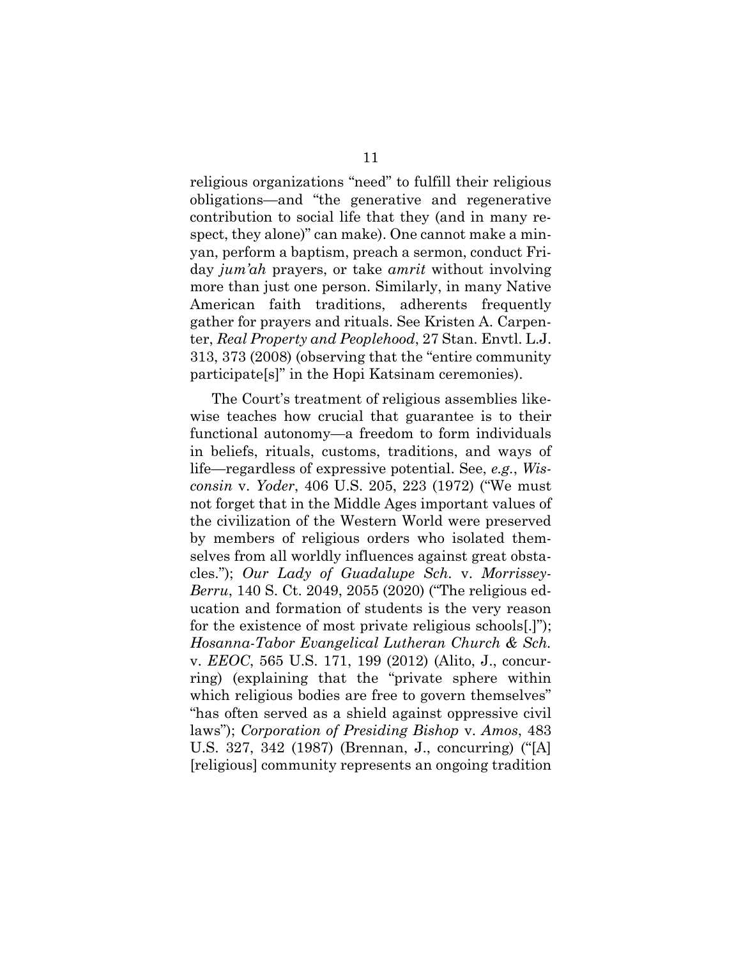religious organizations "need" to fulfill their religious obligations—and "the generative and regenerative contribution to social life that they (and in many respect, they alone)" can make). One cannot make a minyan, perform a baptism, preach a sermon, conduct Friday *jum'ah* prayers, or take *amrit* without involving more than just one person. Similarly, in many Native American faith traditions, adherents frequently gather for prayers and rituals. See Kristen A. Carpenter, *Real Property and Peoplehood*, 27 Stan. Envtl. L.J. 313, 373 (2008) (observing that the "entire community participate[s]" in the Hopi Katsinam ceremonies).

The Court's treatment of religious assemblies likewise teaches how crucial that guarantee is to their functional autonomy—a freedom to form individuals in beliefs, rituals, customs, traditions, and ways of life—regardless of expressive potential. See, *e.g.*, *Wisconsin* v. *Yoder*, 406 U.S. 205, 223 (1972) ("We must not forget that in the Middle Ages important values of the civilization of the Western World were preserved by members of religious orders who isolated themselves from all worldly influences against great obstacles."); *Our Lady of Guadalupe Sch.* v. *Morrissey-Berru*, 140 S. Ct. 2049, 2055 (2020) ("The religious education and formation of students is the very reason for the existence of most private religious schools[.]"); *Hosanna-Tabor Evangelical Lutheran Church & Sch.* v. *EEOC*, 565 U.S. 171, 199 (2012) (Alito, J., concurring) (explaining that the "private sphere within which religious bodies are free to govern themselves" "has often served as a shield against oppressive civil laws"); *Corporation of Presiding Bishop* v. *Amos*, 483 U.S. 327, 342 (1987) (Brennan, J., concurring) ("[A] [religious] community represents an ongoing tradition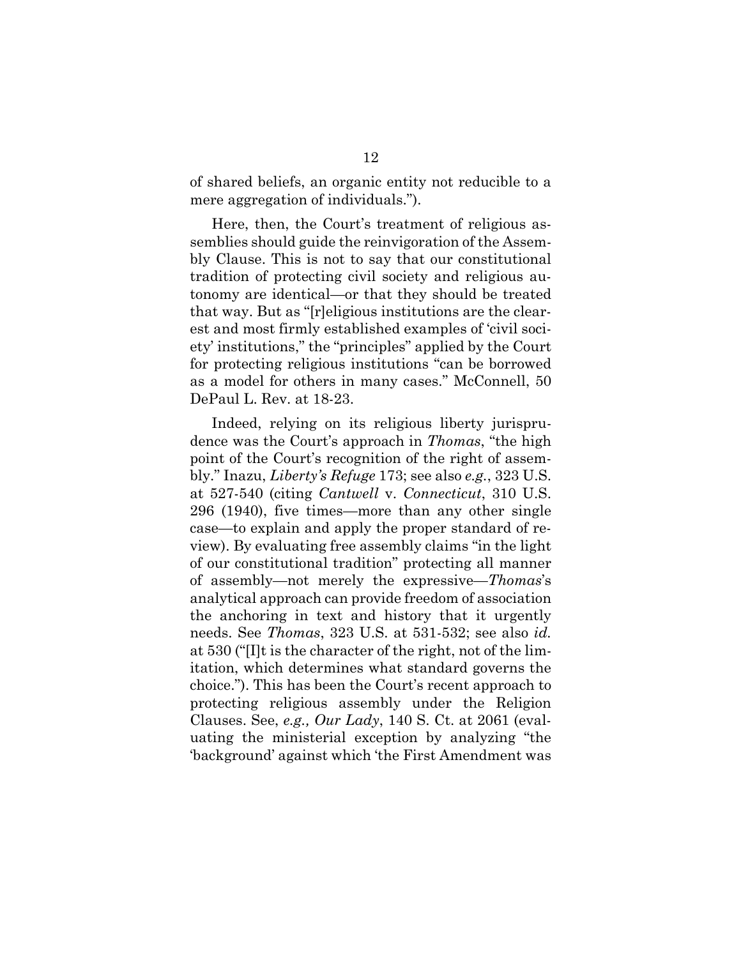of shared beliefs, an organic entity not reducible to a mere aggregation of individuals.").

Here, then, the Court's treatment of religious assemblies should guide the reinvigoration of the Assembly Clause. This is not to say that our constitutional tradition of protecting civil society and religious autonomy are identical—or that they should be treated that way. But as "[r]eligious institutions are the clearest and most firmly established examples of 'civil society' institutions," the "principles" applied by the Court for protecting religious institutions "can be borrowed as a model for others in many cases." McConnell, 50 DePaul L. Rev. at 18-23.

Indeed, relying on its religious liberty jurisprudence was the Court's approach in *Thomas*, "the high point of the Court's recognition of the right of assembly." Inazu, *Liberty's Refuge* 173; see also *e.g.*, 323 U.S. at 527-540 (citing *Cantwell* v. *Connecticut*, 310 U.S. 296 (1940), five times—more than any other single case—to explain and apply the proper standard of review). By evaluating free assembly claims "in the light of our constitutional tradition" protecting all manner of assembly—not merely the expressive—*Thomas*'s analytical approach can provide freedom of association the anchoring in text and history that it urgently needs. See *Thomas*, 323 U.S. at 531-532; see also *id.* at 530 ("[I]t is the character of the right, not of the limitation, which determines what standard governs the choice."). This has been the Court's recent approach to protecting religious assembly under the Religion Clauses. See, *e.g., Our Lady*, 140 S. Ct. at 2061 (evaluating the ministerial exception by analyzing "the 'background' against which 'the First Amendment was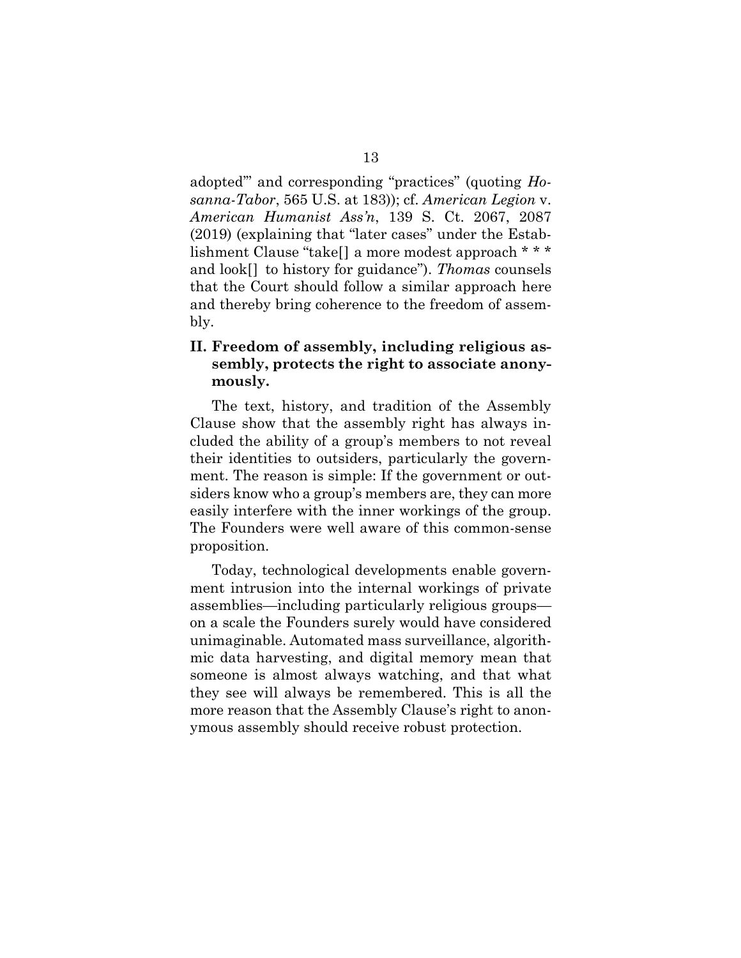adopted'" and corresponding "practices" (quoting *Hosanna-Tabor*, 565 U.S. at 183)); cf. *American Legion* v. *American Humanist Ass'n*, 139 S. Ct. 2067, 2087 (2019) (explaining that "later cases" under the Establishment Clause "take[] a more modest approach \* \* \* and look[] to history for guidance"). *Thomas* counsels that the Court should follow a similar approach here and thereby bring coherence to the freedom of assembly.

### **II. Freedom of assembly, including religious assembly, protects the right to associate anonymously.**

The text, history, and tradition of the Assembly Clause show that the assembly right has always included the ability of a group's members to not reveal their identities to outsiders, particularly the government. The reason is simple: If the government or outsiders know who a group's members are, they can more easily interfere with the inner workings of the group. The Founders were well aware of this common-sense proposition.

Today, technological developments enable government intrusion into the internal workings of private assemblies—including particularly religious groups on a scale the Founders surely would have considered unimaginable. Automated mass surveillance, algorithmic data harvesting, and digital memory mean that someone is almost always watching, and that what they see will always be remembered. This is all the more reason that the Assembly Clause's right to anonymous assembly should receive robust protection.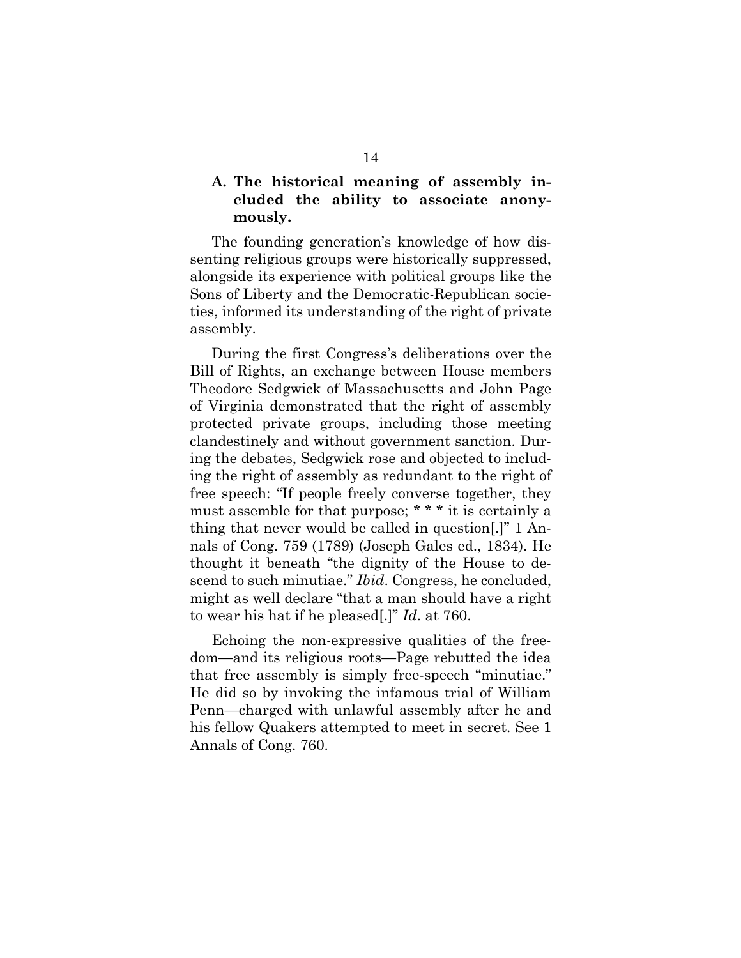### **A. The historical meaning of assembly included the ability to associate anonymously.**

The founding generation's knowledge of how dissenting religious groups were historically suppressed, alongside its experience with political groups like the Sons of Liberty and the Democratic-Republican societies, informed its understanding of the right of private assembly.

During the first Congress's deliberations over the Bill of Rights, an exchange between House members Theodore Sedgwick of Massachusetts and John Page of Virginia demonstrated that the right of assembly protected private groups, including those meeting clandestinely and without government sanction. During the debates, Sedgwick rose and objected to including the right of assembly as redundant to the right of free speech: "If people freely converse together, they must assemble for that purpose; \* \* \* it is certainly a thing that never would be called in question[.]" 1 Annals of Cong. 759 (1789) (Joseph Gales ed., 1834). He thought it beneath "the dignity of the House to descend to such minutiae." *Ibid*. Congress, he concluded, might as well declare "that a man should have a right to wear his hat if he pleased[.]" *Id*. at 760.

Echoing the non-expressive qualities of the freedom—and its religious roots—Page rebutted the idea that free assembly is simply free-speech "minutiae." He did so by invoking the infamous trial of William Penn—charged with unlawful assembly after he and his fellow Quakers attempted to meet in secret. See 1 Annals of Cong. 760.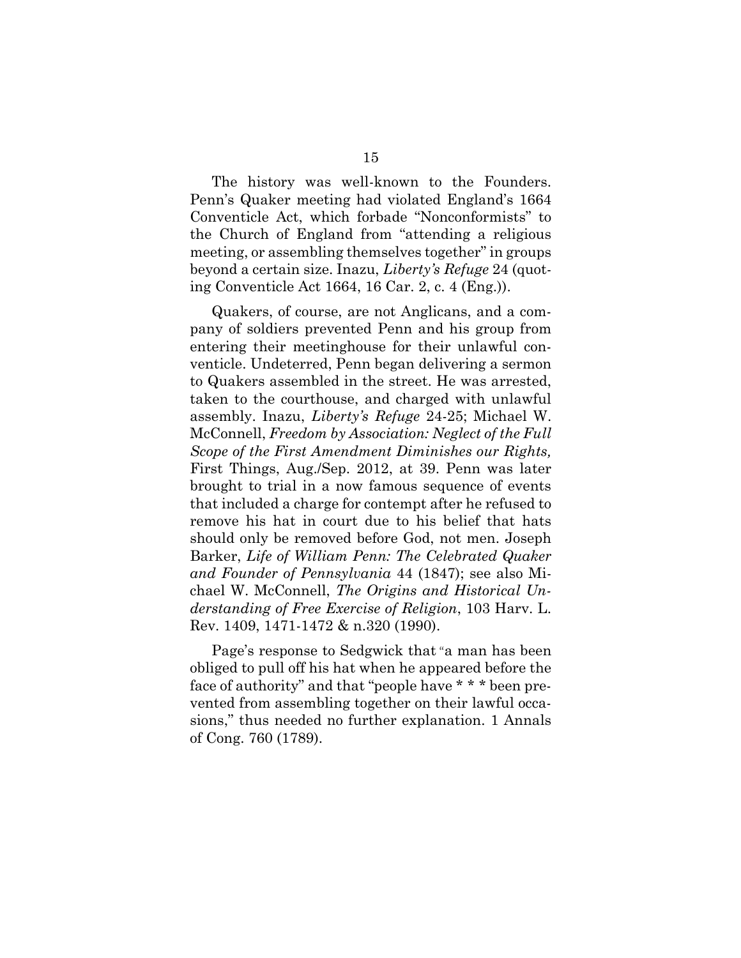The history was well-known to the Founders. Penn's Quaker meeting had violated England's 1664 Conventicle Act, which forbade "Nonconformists" to the Church of England from "attending a religious meeting, or assembling themselves together" in groups beyond a certain size. Inazu, *Liberty's Refuge* 24 (quoting Conventicle Act 1664, 16 Car. 2, c. 4 (Eng.)).

Quakers, of course, are not Anglicans, and a company of soldiers prevented Penn and his group from entering their meetinghouse for their unlawful conventicle. Undeterred, Penn began delivering a sermon to Quakers assembled in the street. He was arrested, taken to the courthouse, and charged with unlawful assembly. Inazu, *Liberty's Refuge* 24-25; Michael W. McConnell, *Freedom by Association: Neglect of the Full Scope of the First Amendment Diminishes our Rights,*  First Things, Aug./Sep. 2012, at 39. Penn was later brought to trial in a now famous sequence of events that included a charge for contempt after he refused to remove his hat in court due to his belief that hats should only be removed before God, not men. Joseph Barker, *Life of William Penn: The Celebrated Quaker and Founder of Pennsylvania* 44 (1847); see also Michael W. McConnell, *The Origins and Historical Understanding of Free Exercise of Religion*, 103 Harv. L. Rev. 1409, 1471-1472 & n.320 (1990).

Page's response to Sedgwick that "a man has been obliged to pull off his hat when he appeared before the face of authority" and that "people have \* \* \* been prevented from assembling together on their lawful occasions," thus needed no further explanation. 1 Annals of Cong. 760 (1789).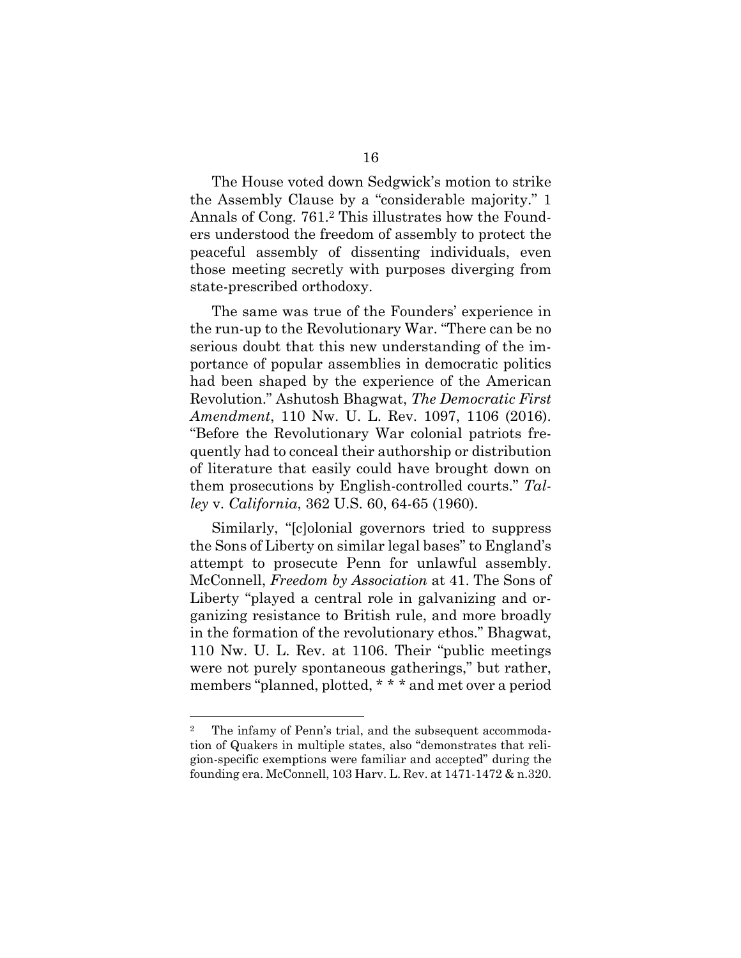The House voted down Sedgwick's motion to strike the Assembly Clause by a "considerable majority." 1 Annals of Cong. 761.<sup>2</sup> This illustrates how the Founders understood the freedom of assembly to protect the peaceful assembly of dissenting individuals, even those meeting secretly with purposes diverging from state-prescribed orthodoxy.

The same was true of the Founders' experience in the run-up to the Revolutionary War. "There can be no serious doubt that this new understanding of the importance of popular assemblies in democratic politics had been shaped by the experience of the American Revolution." Ashutosh Bhagwat, *The Democratic First Amendment*, 110 Nw. U. L. Rev. 1097, 1106 (2016). "Before the Revolutionary War colonial patriots frequently had to conceal their authorship or distribution of literature that easily could have brought down on them prosecutions by English-controlled courts." *Talley* v. *California*, 362 U.S. 60, 64-65 (1960).

Similarly, "[c]olonial governors tried to suppress the Sons of Liberty on similar legal bases" to England's attempt to prosecute Penn for unlawful assembly. McConnell, *Freedom by Association* at 41. The Sons of Liberty "played a central role in galvanizing and organizing resistance to British rule, and more broadly in the formation of the revolutionary ethos." Bhagwat, 110 Nw. U. L. Rev. at 1106. Their "public meetings were not purely spontaneous gatherings," but rather, members "planned, plotted, \* \* \* and met over a period

<sup>2</sup> The infamy of Penn's trial, and the subsequent accommodation of Quakers in multiple states, also "demonstrates that religion-specific exemptions were familiar and accepted" during the founding era. McConnell, 103 Harv. L. Rev. at 1471-1472 & n.320.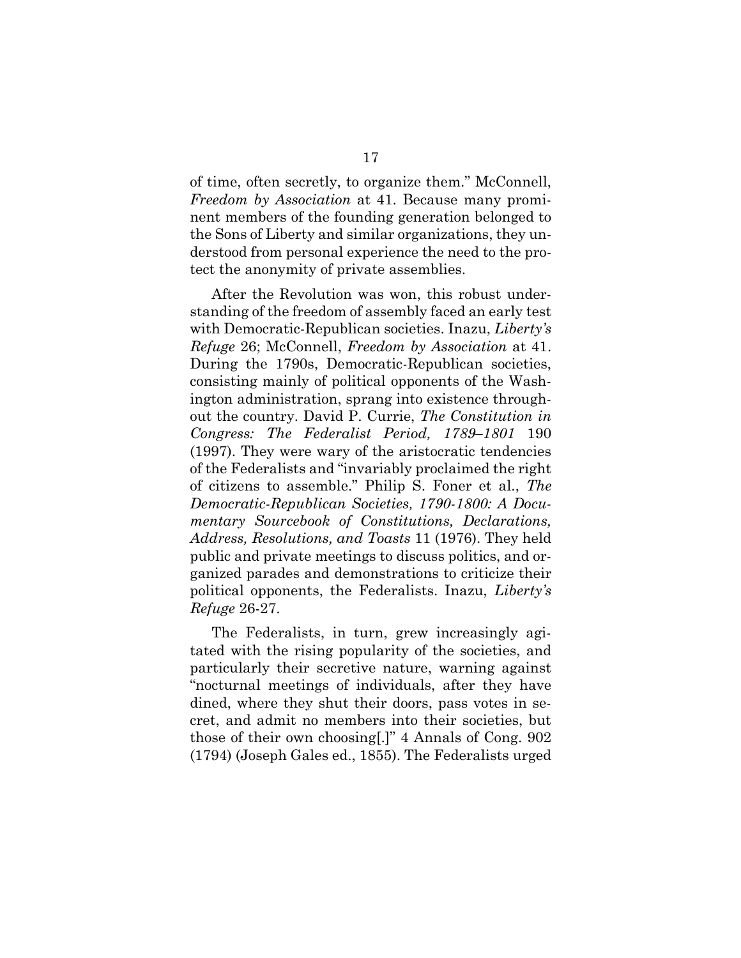of time, often secretly, to organize them." McConnell, *Freedom by Association* at 41. Because many prominent members of the founding generation belonged to the Sons of Liberty and similar organizations, they understood from personal experience the need to the protect the anonymity of private assemblies.

After the Revolution was won, this robust understanding of the freedom of assembly faced an early test with Democratic-Republican societies. Inazu, *Liberty's Refuge* 26; McConnell, *Freedom by Association* at 41. During the 1790s, Democratic-Republican societies, consisting mainly of political opponents of the Washington administration, sprang into existence throughout the country. David P. Currie, *The Constitution in Congress: The Federalist Period, 1789–1801* 190 (1997). They were wary of the aristocratic tendencies of the Federalists and "invariably proclaimed the right of citizens to assemble." Philip S. Foner et al., *The Democratic-Republican Societies, 1790-1800: A Documentary Sourcebook of Constitutions, Declarations, Address, Resolutions, and Toasts* 11 (1976). They held public and private meetings to discuss politics, and organized parades and demonstrations to criticize their political opponents, the Federalists. Inazu, *Liberty's Refuge* 26-27.

The Federalists, in turn, grew increasingly agitated with the rising popularity of the societies, and particularly their secretive nature, warning against "nocturnal meetings of individuals, after they have dined, where they shut their doors, pass votes in secret, and admit no members into their societies, but those of their own choosing[.]" 4 Annals of Cong. 902 (1794) (Joseph Gales ed., 1855). The Federalists urged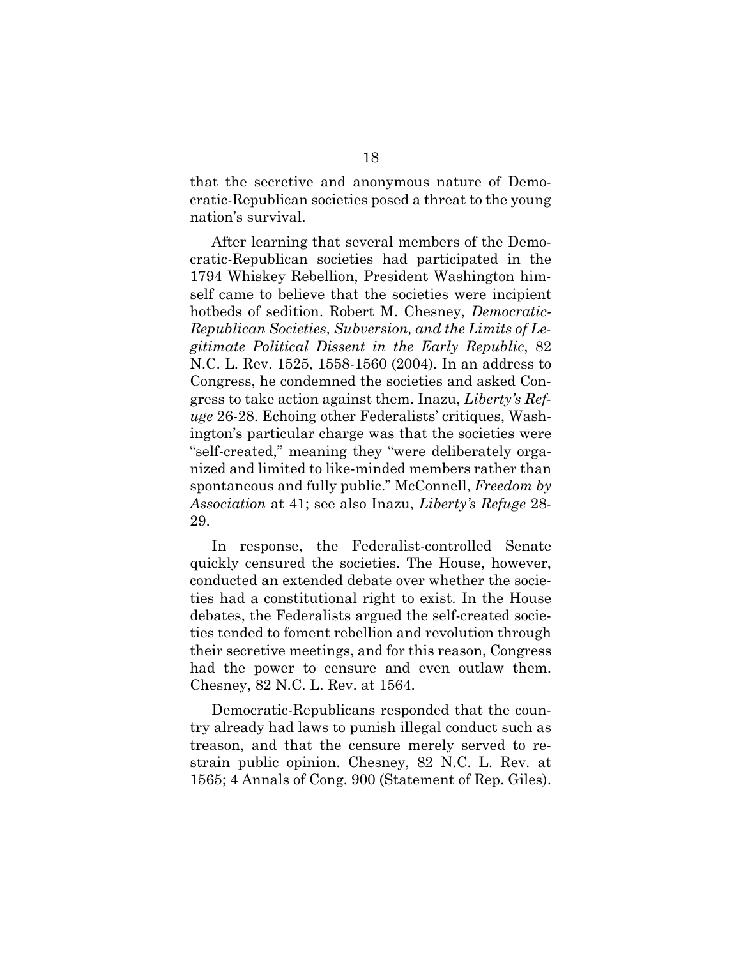that the secretive and anonymous nature of Democratic-Republican societies posed a threat to the young nation's survival.

After learning that several members of the Democratic-Republican societies had participated in the 1794 Whiskey Rebellion, President Washington himself came to believe that the societies were incipient hotbeds of sedition. Robert M. Chesney, *Democratic-Republican Societies, Subversion, and the Limits of Legitimate Political Dissent in the Early Republic*, 82 N.C. L. Rev. 1525, 1558-1560 (2004). In an address to Congress, he condemned the societies and asked Congress to take action against them. Inazu, *Liberty's Refuge* 26-28. Echoing other Federalists' critiques, Washington's particular charge was that the societies were "self-created," meaning they "were deliberately organized and limited to like-minded members rather than spontaneous and fully public." McConnell, *Freedom by Association* at 41; see also Inazu, *Liberty's Refuge* 28- 29.

In response, the Federalist-controlled Senate quickly censured the societies. The House, however, conducted an extended debate over whether the societies had a constitutional right to exist. In the House debates, the Federalists argued the self-created societies tended to foment rebellion and revolution through their secretive meetings, and for this reason, Congress had the power to censure and even outlaw them. Chesney, 82 N.C. L. Rev. at 1564.

Democratic-Republicans responded that the country already had laws to punish illegal conduct such as treason, and that the censure merely served to restrain public opinion. Chesney, 82 N.C. L. Rev. at 1565; 4 Annals of Cong. 900 (Statement of Rep. Giles).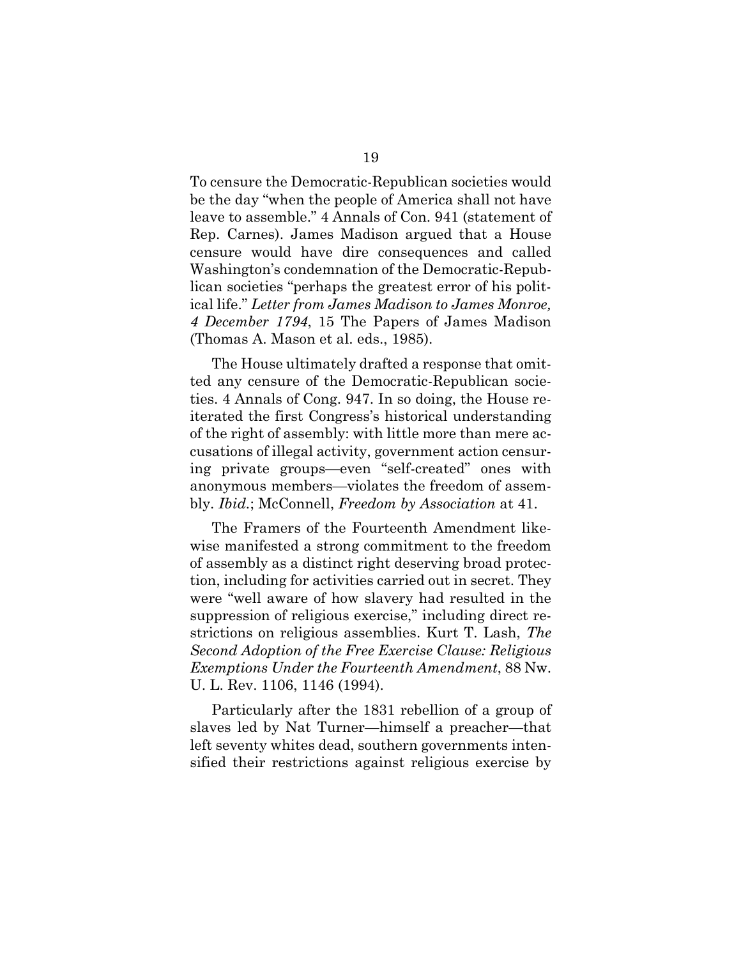To censure the Democratic-Republican societies would be the day "when the people of America shall not have leave to assemble." 4 Annals of Con. 941 (statement of Rep. Carnes). James Madison argued that a House censure would have dire consequences and called Washington's condemnation of the Democratic-Republican societies "perhaps the greatest error of his political life." *Letter from James Madison to James Monroe, 4 December 1794*, 15 The Papers of James Madison (Thomas A. Mason et al. eds., 1985).

The House ultimately drafted a response that omitted any censure of the Democratic-Republican societies. 4 Annals of Cong. 947. In so doing, the House reiterated the first Congress's historical understanding of the right of assembly: with little more than mere accusations of illegal activity, government action censuring private groups—even "self-created" ones with anonymous members—violates the freedom of assembly. *Ibid.*; McConnell, *Freedom by Association* at 41.

The Framers of the Fourteenth Amendment likewise manifested a strong commitment to the freedom of assembly as a distinct right deserving broad protection, including for activities carried out in secret. They were "well aware of how slavery had resulted in the suppression of religious exercise," including direct restrictions on religious assemblies. Kurt T. Lash, *The Second Adoption of the Free Exercise Clause: Religious Exemptions Under the Fourteenth Amendment*, 88 Nw. U. L. Rev. 1106, 1146 (1994).

Particularly after the 1831 rebellion of a group of slaves led by Nat Turner—himself a preacher—that left seventy whites dead, southern governments intensified their restrictions against religious exercise by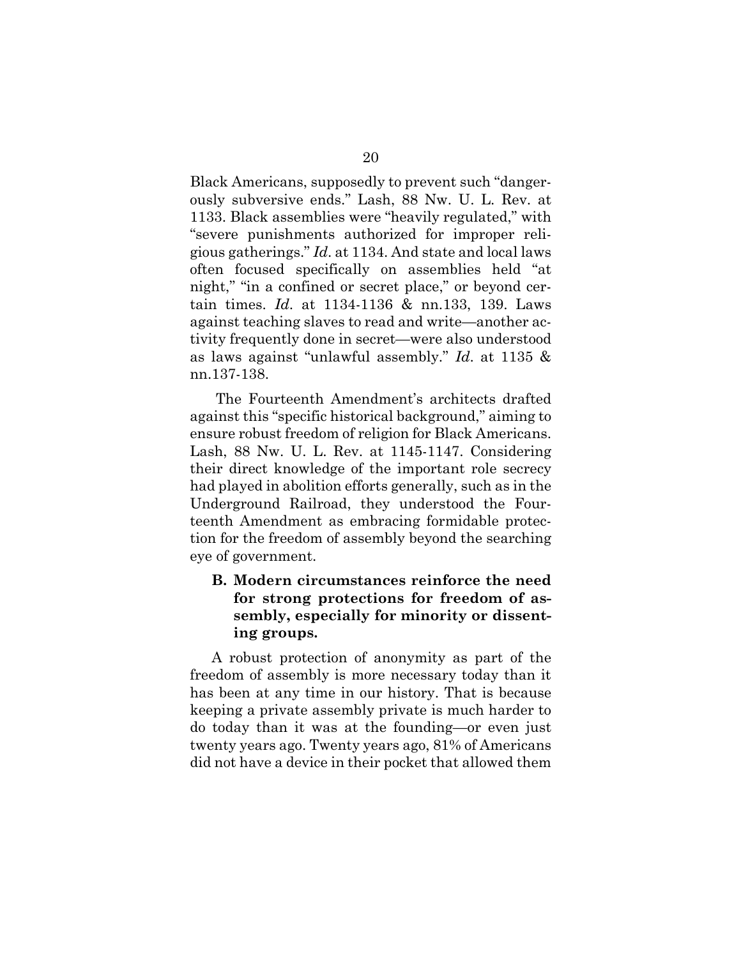Black Americans, supposedly to prevent such "dangerously subversive ends." Lash, 88 Nw. U. L. Rev. at 1133. Black assemblies were "heavily regulated," with "severe punishments authorized for improper religious gatherings." *Id*. at 1134. And state and local laws often focused specifically on assemblies held "at night," "in a confined or secret place," or beyond certain times. *Id*. at 1134-1136 & nn.133, 139. Laws against teaching slaves to read and write—another activity frequently done in secret—were also understood as laws against "unlawful assembly." *Id*. at 1135 & nn.137-138.

The Fourteenth Amendment's architects drafted against this "specific historical background," aiming to ensure robust freedom of religion for Black Americans. Lash, 88 Nw. U. L. Rev. at 1145-1147. Considering their direct knowledge of the important role secrecy had played in abolition efforts generally, such as in the Underground Railroad, they understood the Fourteenth Amendment as embracing formidable protection for the freedom of assembly beyond the searching eye of government.

### **B. Modern circumstances reinforce the need for strong protections for freedom of assembly, especially for minority or dissenting groups.**

A robust protection of anonymity as part of the freedom of assembly is more necessary today than it has been at any time in our history. That is because keeping a private assembly private is much harder to do today than it was at the founding—or even just twenty years ago. Twenty years ago, 81% of Americans did not have a device in their pocket that allowed them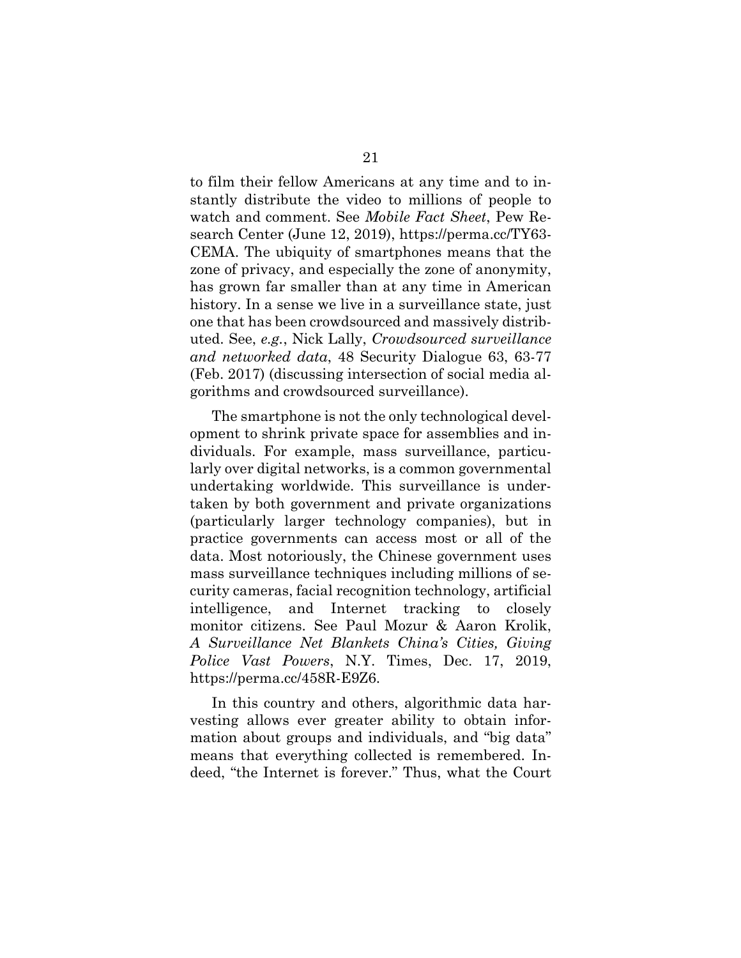to film their fellow Americans at any time and to instantly distribute the video to millions of people to watch and comment. See *Mobile Fact Sheet*, Pew Research Center (June 12, 2019), [https://perma.cc/TY63-](https://perma.cc/TY63-CEMA) [CEMA.](https://perma.cc/TY63-CEMA) The ubiquity of smartphones means that the zone of privacy, and especially the zone of anonymity, has grown far smaller than at any time in American history. In a sense we live in a surveillance state, just one that has been crowdsourced and massively distributed. See, *e.g.*, Nick Lally, *Crowdsourced surveillance and networked data*, 48 Security Dialogue 63, 63-77 (Feb. 2017) (discussing intersection of social media algorithms and crowdsourced surveillance).

The smartphone is not the only technological development to shrink private space for assemblies and individuals. For example, mass surveillance, particularly over digital networks, is a common governmental undertaking worldwide. This surveillance is undertaken by both government and private organizations (particularly larger technology companies), but in practice governments can access most or all of the data. Most notoriously, the Chinese government uses mass surveillance techniques including millions of security cameras, facial recognition technology, artificial intelligence, and Internet tracking to closely monitor citizens. See Paul Mozur & Aaron Krolik, *A Surveillance Net Blankets China's Cities, Giving Police Vast Powers*, N.Y. Times, Dec. 17, 2019, [https://perma.cc/458R-E9Z6.](https://perma.cc/458R-E9Z6)

In this country and others, algorithmic data harvesting allows ever greater ability to obtain information about groups and individuals, and "big data" means that everything collected is remembered. Indeed, "the Internet is forever." Thus, what the Court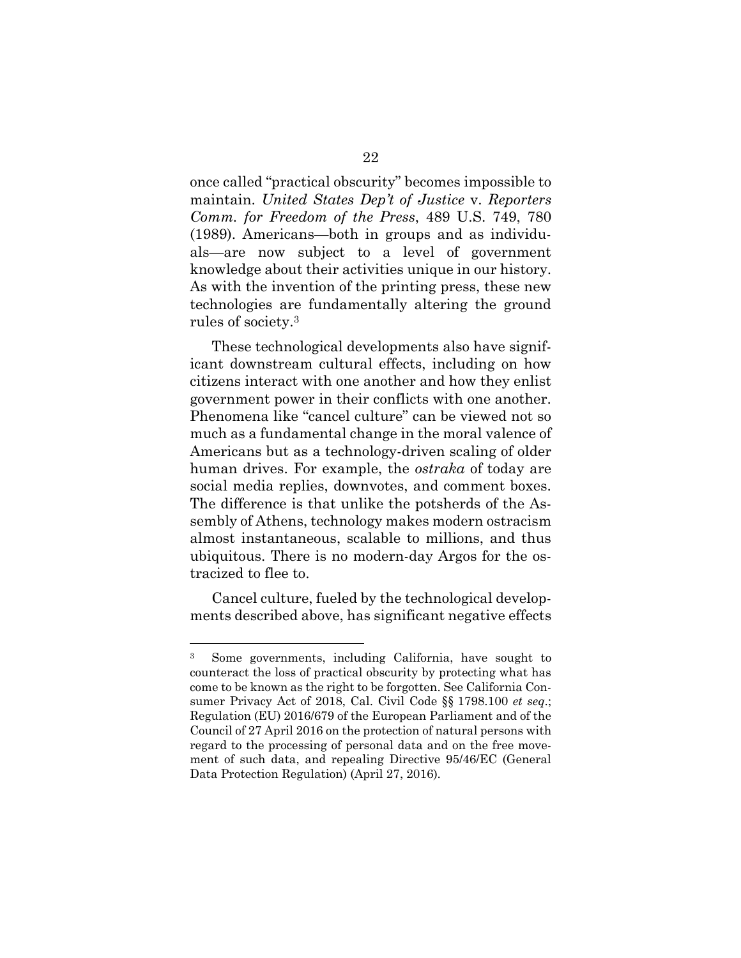once called "practical obscurity" becomes impossible to maintain. *United States Dep't of Justice* v. *Reporters Comm. for Freedom of the Press*, 489 U.S. 749, 780 (1989). Americans—both in groups and as individuals—are now subject to a level of government knowledge about their activities unique in our history. As with the invention of the printing press, these new technologies are fundamentally altering the ground rules of society.<sup>3</sup>

These technological developments also have significant downstream cultural effects, including on how citizens interact with one another and how they enlist government power in their conflicts with one another. Phenomena like "cancel culture" can be viewed not so much as a fundamental change in the moral valence of Americans but as a technology-driven scaling of older human drives. For example, the *ostraka* of today are social media replies, downvotes, and comment boxes. The difference is that unlike the potsherds of the Assembly of Athens, technology makes modern ostracism almost instantaneous, scalable to millions, and thus ubiquitous. There is no modern-day Argos for the ostracized to flee to.

Cancel culture, fueled by the technological developments described above, has significant negative effects

<sup>3</sup> Some governments, including California, have sought to counteract the loss of practical obscurity by protecting what has come to be known as the right to be forgotten. See California Consumer Privacy Act of 2018, Cal. Civil Code §§ 1798.100 *et seq*.; Regulation (EU) 2016/679 of the European Parliament and of the Council of 27 April 2016 on the protection of natural persons with regard to the processing of personal data and on the free movement of such data, and repealing Directive 95/46/EC (General Data Protection Regulation) (April 27, 2016)*.*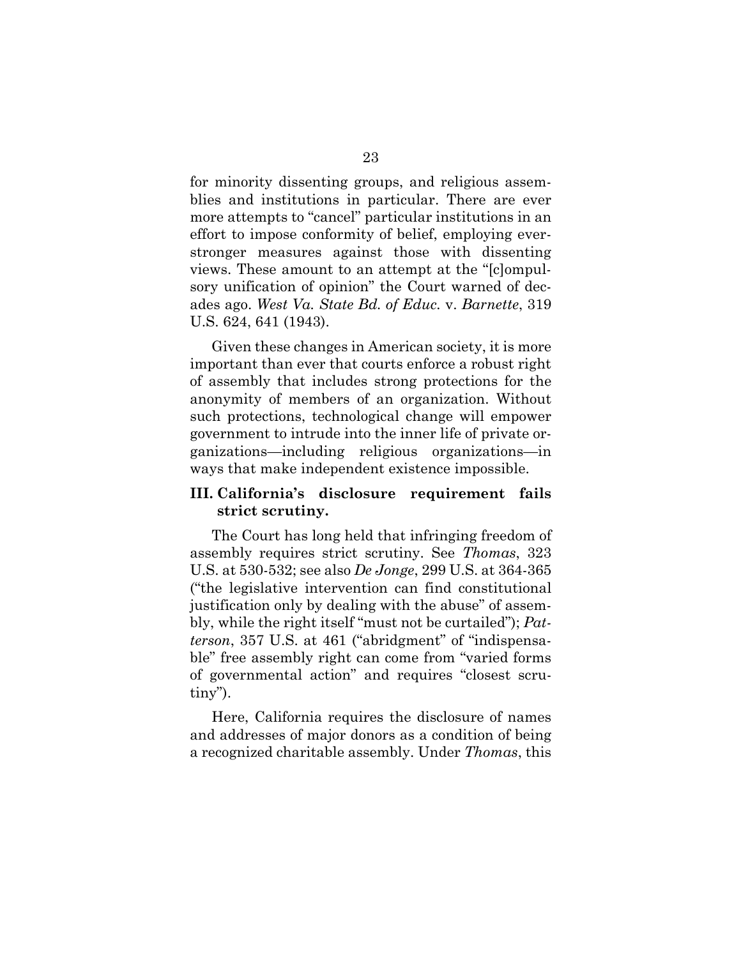for minority dissenting groups, and religious assemblies and institutions in particular. There are ever more attempts to "cancel" particular institutions in an effort to impose conformity of belief, employing everstronger measures against those with dissenting views. These amount to an attempt at the "[c]ompulsory unification of opinion" the Court warned of decades ago. *West Va. State Bd. of Educ.* v. *Barnette*, 319 U.S. 624, 641 (1943).

Given these changes in American society, it is more important than ever that courts enforce a robust right of assembly that includes strong protections for the anonymity of members of an organization. Without such protections, technological change will empower government to intrude into the inner life of private organizations—including religious organizations—in ways that make independent existence impossible.

#### **III. California's disclosure requirement fails strict scrutiny.**

The Court has long held that infringing freedom of assembly requires strict scrutiny. See *Thomas*, 323 U.S. at 530-532; see also *De Jonge*, 299 U.S. at 364-365 ("the legislative intervention can find constitutional justification only by dealing with the abuse" of assembly, while the right itself "must not be curtailed"); *Patterson*, 357 U.S. at 461 ("abridgment" of "indispensable" free assembly right can come from "varied forms of governmental action" and requires "closest scrutiny").

Here, California requires the disclosure of names and addresses of major donors as a condition of being a recognized charitable assembly. Under *Thomas*, this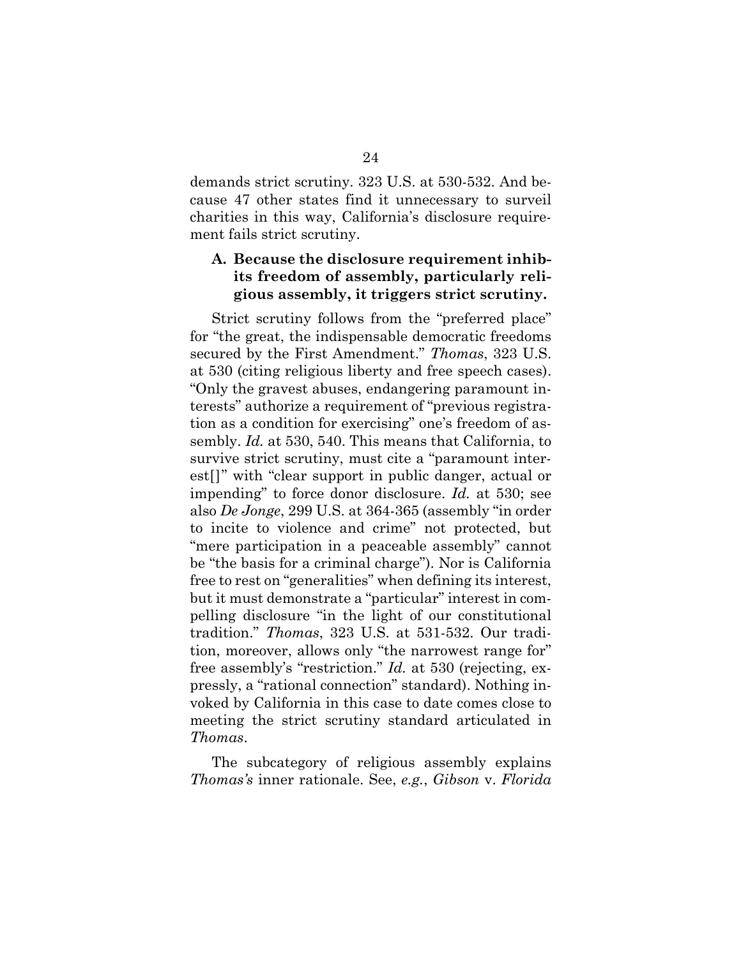demands strict scrutiny. 323 U.S. at 530-532. And because 47 other states find it unnecessary to surveil charities in this way, California's disclosure requirement fails strict scrutiny.

#### **A. Because the disclosure requirement inhibits freedom of assembly, particularly religious assembly, it triggers strict scrutiny.**

Strict scrutiny follows from the "preferred place" for "the great, the indispensable democratic freedoms secured by the First Amendment." *Thomas*, 323 U.S. at 530 (citing religious liberty and free speech cases). "Only the gravest abuses, endangering paramount interests" authorize a requirement of "previous registration as a condition for exercising" one's freedom of assembly. *Id.* at 530, 540. This means that California, to survive strict scrutiny, must cite a "paramount interest[]" with "clear support in public danger, actual or impending" to force donor disclosure. *Id.* at 530; see also *De Jonge*, 299 U.S. at 364-365 (assembly "in order to incite to violence and crime" not protected, but "mere participation in a peaceable assembly" cannot be "the basis for a criminal charge"). Nor is California free to rest on "generalities" when defining its interest, but it must demonstrate a "particular" interest in compelling disclosure "in the light of our constitutional tradition." *Thomas*, 323 U.S. at 531-532. Our tradition, moreover, allows only "the narrowest range for" free assembly's "restriction." *Id.* at 530 (rejecting, expressly, a "rational connection" standard). Nothing invoked by California in this case to date comes close to meeting the strict scrutiny standard articulated in *Thomas*.

The subcategory of religious assembly explains *Thomas's* inner rationale. See, *e.g.*, *Gibson* v. *Florida*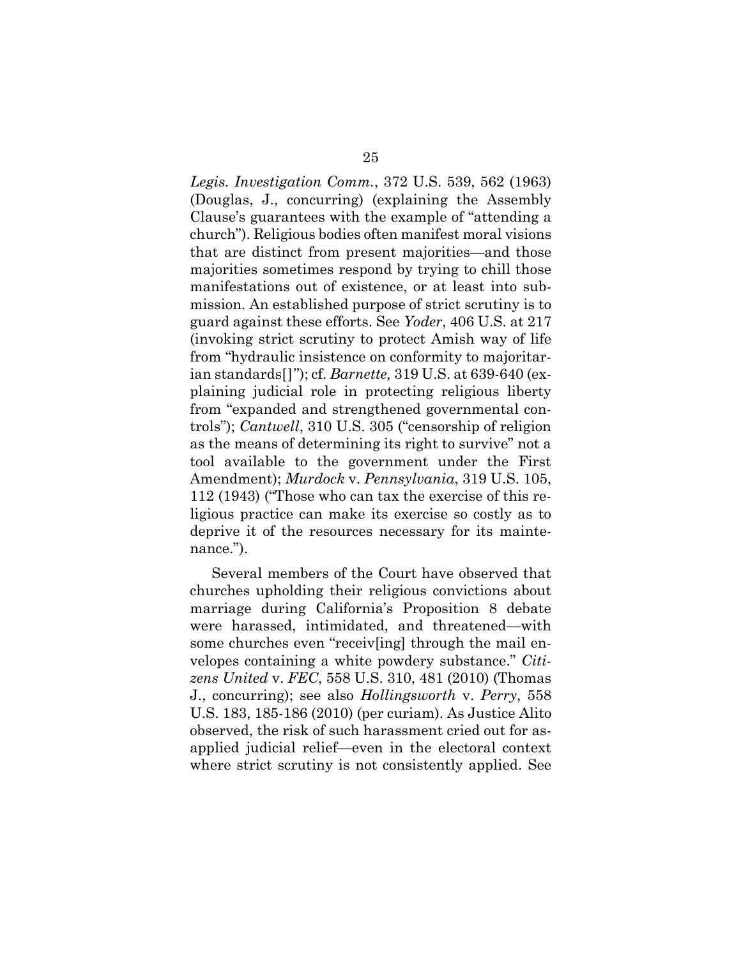*Legis. Investigation Comm.*, 372 U.S. 539, 562 (1963) (Douglas, J., concurring) (explaining the Assembly Clause's guarantees with the example of "attending a church"). Religious bodies often manifest moral visions that are distinct from present majorities—and those majorities sometimes respond by trying to chill those manifestations out of existence, or at least into submission. An established purpose of strict scrutiny is to guard against these efforts. See *Yoder*, 406 U.S. at 217 (invoking strict scrutiny to protect Amish way of life from "hydraulic insistence on conformity to majoritarian standards[]"); cf. *Barnette,* 319 U.S. at 639-640 (explaining judicial role in protecting religious liberty from "expanded and strengthened governmental controls"); *Cantwell*, 310 U.S. 305 ("censorship of religion as the means of determining its right to survive" not a tool available to the government under the First Amendment); *Murdock* v. *Pennsylvania*, 319 U.S. 105, 112 (1943) ("Those who can tax the exercise of this religious practice can make its exercise so costly as to deprive it of the resources necessary for its maintenance.").

Several members of the Court have observed that churches upholding their religious convictions about marriage during California's Proposition 8 debate were harassed, intimidated, and threatened—with some churches even "receiv[ing] through the mail envelopes containing a white powdery substance." *Citizens United* v. *FEC*, 558 U.S. 310, 481 (2010) (Thomas J., concurring); see also *Hollingsworth* v. *Perry*, 558 U.S. 183, 185-186 (2010) (per curiam). As Justice Alito observed, the risk of such harassment cried out for asapplied judicial relief—even in the electoral context where strict scrutiny is not consistently applied. See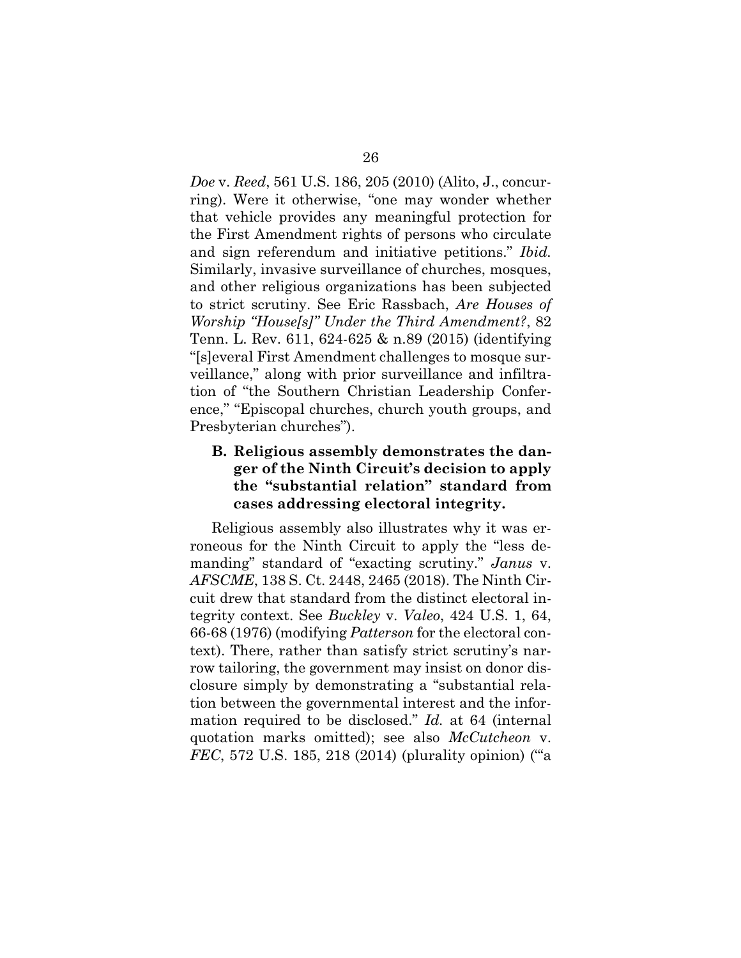*Doe* v. *Reed*, 561 U.S. 186, 205 (2010) (Alito, J., concurring). Were it otherwise, "one may wonder whether that vehicle provides any meaningful protection for the First Amendment rights of persons who circulate and sign referendum and initiative petitions." *Ibid.* Similarly, invasive surveillance of churches, mosques, and other religious organizations has been subjected to strict scrutiny. See Eric Rassbach, *Are Houses of Worship "House[s]" Under the Third Amendment?*, 82 Tenn. L. Rev. 611, 624-625 & n.89 (2015) (identifying "[s]everal First Amendment challenges to mosque surveillance," along with prior surveillance and infiltration of "the Southern Christian Leadership Conference," "Episcopal churches, church youth groups, and Presbyterian churches").

### **B. Religious assembly demonstrates the danger of the Ninth Circuit's decision to apply the "substantial relation" standard from cases addressing electoral integrity.**

Religious assembly also illustrates why it was erroneous for the Ninth Circuit to apply the "less demanding" standard of "exacting scrutiny." *Janus* v. *AFSCME*, 138 S. Ct. 2448, 2465 (2018). The Ninth Circuit drew that standard from the distinct electoral integrity context. See *Buckley* v. *Valeo*, 424 U.S. 1, 64, 66-68 (1976) (modifying *Patterson* for the electoral context). There, rather than satisfy strict scrutiny's narrow tailoring, the government may insist on donor disclosure simply by demonstrating a "substantial relation between the governmental interest and the information required to be disclosed." *Id.* at 64 (internal quotation marks omitted); see also *McCutcheon* v. *FEC*, 572 U.S. 185, 218 (2014) (plurality opinion) ("'a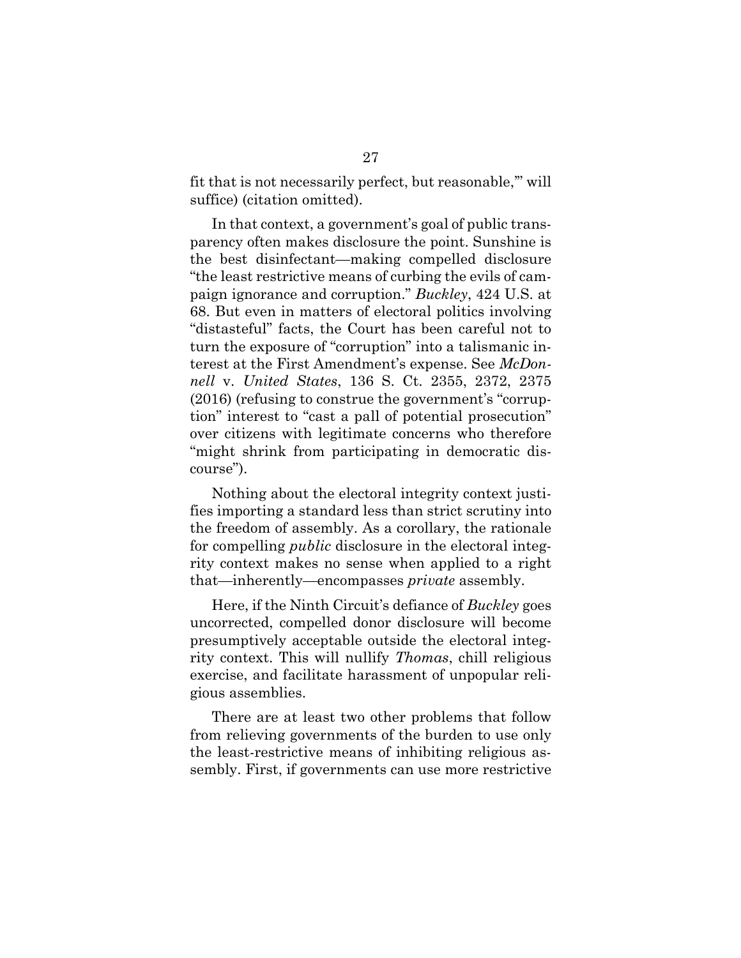fit that is not necessarily perfect, but reasonable,'" will suffice) (citation omitted).

In that context, a government's goal of public transparency often makes disclosure the point. Sunshine is the best disinfectant—making compelled disclosure "the least restrictive means of curbing the evils of campaign ignorance and corruption." *Buckley*, 424 U.S. at 68. But even in matters of electoral politics involving "distasteful" facts, the Court has been careful not to turn the exposure of "corruption" into a talismanic interest at the First Amendment's expense. See *McDonnell* v. *United States*, 136 S. Ct. 2355, 2372, 2375 (2016) (refusing to construe the government's "corruption" interest to "cast a pall of potential prosecution" over citizens with legitimate concerns who therefore "might shrink from participating in democratic discourse").

Nothing about the electoral integrity context justifies importing a standard less than strict scrutiny into the freedom of assembly. As a corollary, the rationale for compelling *public* disclosure in the electoral integrity context makes no sense when applied to a right that—inherently—encompasses *private* assembly.

Here, if the Ninth Circuit's defiance of *Buckley* goes uncorrected, compelled donor disclosure will become presumptively acceptable outside the electoral integrity context. This will nullify *Thomas*, chill religious exercise, and facilitate harassment of unpopular religious assemblies.

There are at least two other problems that follow from relieving governments of the burden to use only the least-restrictive means of inhibiting religious assembly. First, if governments can use more restrictive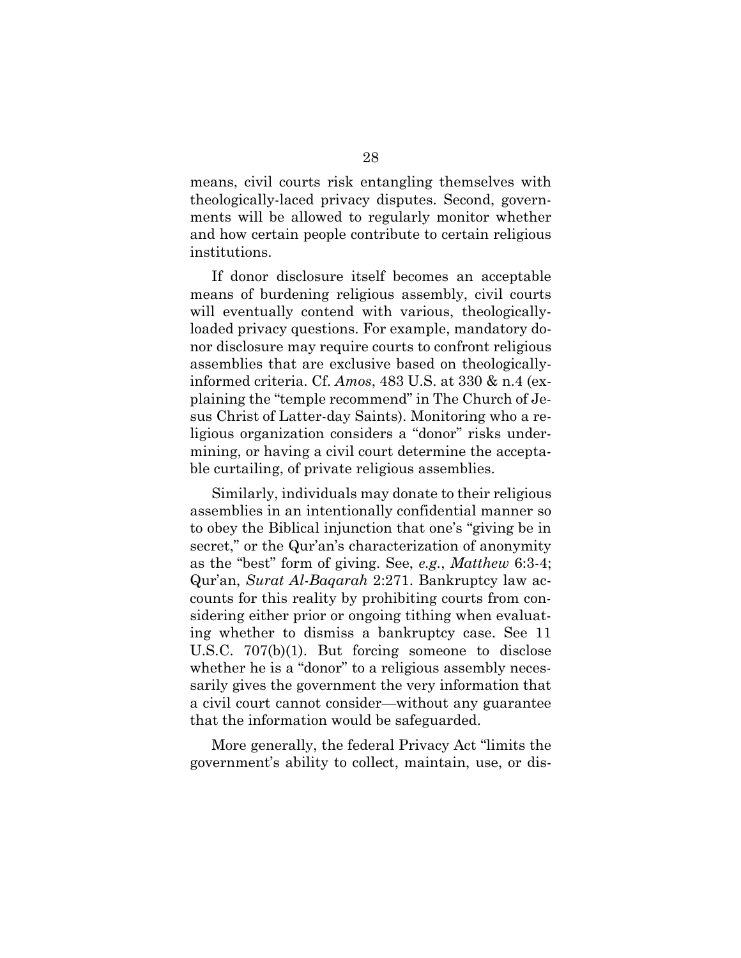means, civil courts risk entangling themselves with theologically-laced privacy disputes. Second, governments will be allowed to regularly monitor whether and how certain people contribute to certain religious institutions.

If donor disclosure itself becomes an acceptable means of burdening religious assembly, civil courts will eventually contend with various, theologicallyloaded privacy questions. For example, mandatory donor disclosure may require courts to confront religious assemblies that are exclusive based on theologicallyinformed criteria. Cf. *Amos*, 483 U.S. at 330 & n.4 (explaining the "temple recommend" in The Church of Jesus Christ of Latter-day Saints). Monitoring who a religious organization considers a "donor" risks undermining, or having a civil court determine the acceptable curtailing, of private religious assemblies.

Similarly, individuals may donate to their religious assemblies in an intentionally confidential manner so to obey the Biblical injunction that one's "giving be in secret," or the Qur'an's characterization of anonymity as the "best" form of giving. See, *e.g.*, *Matthew* 6:3-4; Qur'an, *Surat Al-Baqarah* 2:271. Bankruptcy law accounts for this reality by prohibiting courts from considering either prior or ongoing tithing when evaluating whether to dismiss a bankruptcy case. See 11 U.S.C. 707(b)(1). But forcing someone to disclose whether he is a "donor" to a religious assembly necessarily gives the government the very information that a civil court cannot consider—without any guarantee that the information would be safeguarded.

More generally, the federal Privacy Act "limits the government's ability to collect, maintain, use, or dis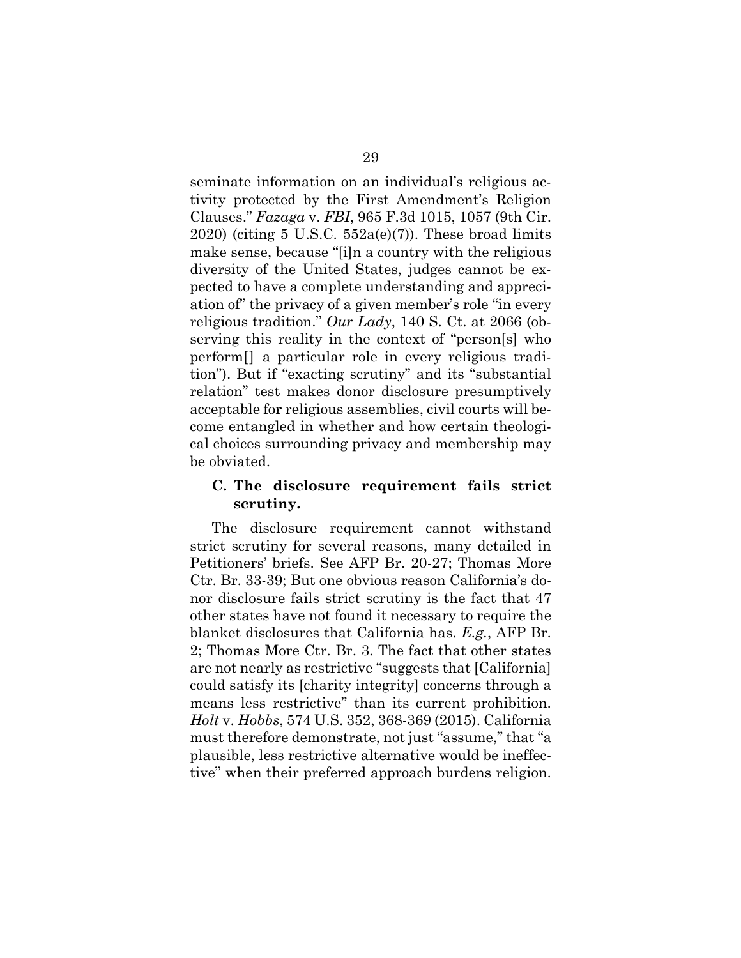seminate information on an individual's religious activity protected by the First Amendment's Religion Clauses." *Fazaga* v. *FBI*, 965 F.3d 1015, 1057 (9th Cir.  $2020$ ) (citing 5 U.S.C.  $552a(e)(7)$ ). These broad limits make sense, because "[i]n a country with the religious diversity of the United States, judges cannot be expected to have a complete understanding and appreciation of" the privacy of a given member's role "in every religious tradition." *Our Lady*, 140 S. Ct. at 2066 (observing this reality in the context of "person[s] who perform[] a particular role in every religious tradition"). But if "exacting scrutiny" and its "substantial relation" test makes donor disclosure presumptively acceptable for religious assemblies, civil courts will become entangled in whether and how certain theological choices surrounding privacy and membership may be obviated.

#### **C. The disclosure requirement fails strict scrutiny.**

The disclosure requirement cannot withstand strict scrutiny for several reasons, many detailed in Petitioners' briefs. See AFP Br. 20-27; Thomas More Ctr. Br. 33-39; But one obvious reason California's donor disclosure fails strict scrutiny is the fact that 47 other states have not found it necessary to require the blanket disclosures that California has. *E.g.*, AFP Br. 2; Thomas More Ctr. Br. 3. The fact that other states are not nearly as restrictive "suggests that [California] could satisfy its [charity integrity] concerns through a means less restrictive" than its current prohibition. *Holt* v. *Hobbs*, 574 U.S. 352, 368-369 (2015). California must therefore demonstrate, not just "assume," that "a plausible, less restrictive alternative would be ineffective" when their preferred approach burdens religion.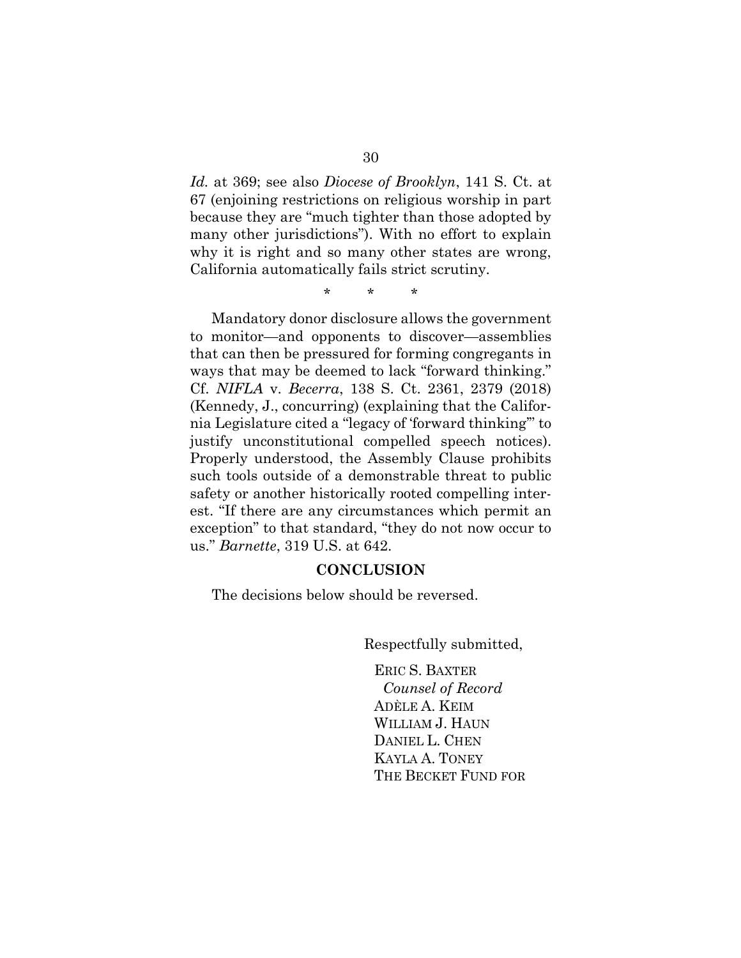*Id.* at 369; see also *Diocese of Brooklyn*, 141 S. Ct. at 67 (enjoining restrictions on religious worship in part because they are "much tighter than those adopted by many other jurisdictions"). With no effort to explain why it is right and so many other states are wrong, California automatically fails strict scrutiny.

\* \* \*

Mandatory donor disclosure allows the government to monitor—and opponents to discover—assemblies that can then be pressured for forming congregants in ways that may be deemed to lack "forward thinking." Cf. *NIFLA* v. *Becerra*, 138 S. Ct. 2361, 2379 (2018) (Kennedy, J., concurring) (explaining that the California Legislature cited a "legacy of 'forward thinking'" to justify unconstitutional compelled speech notices). Properly understood, the Assembly Clause prohibits such tools outside of a demonstrable threat to public safety or another historically rooted compelling interest. "If there are any circumstances which permit an exception" to that standard, "they do not now occur to us." *Barnette*, 319 U.S. at 642.

#### **CONCLUSION**

The decisions below should be reversed.

Respectfully submitted,

ERIC S. BAXTER *Counsel of Record* ADÈLE A. KEIM WILLIAM J. HAUN DANIEL L. CHEN KAYLA A. TONEY THE BECKET FUND FOR